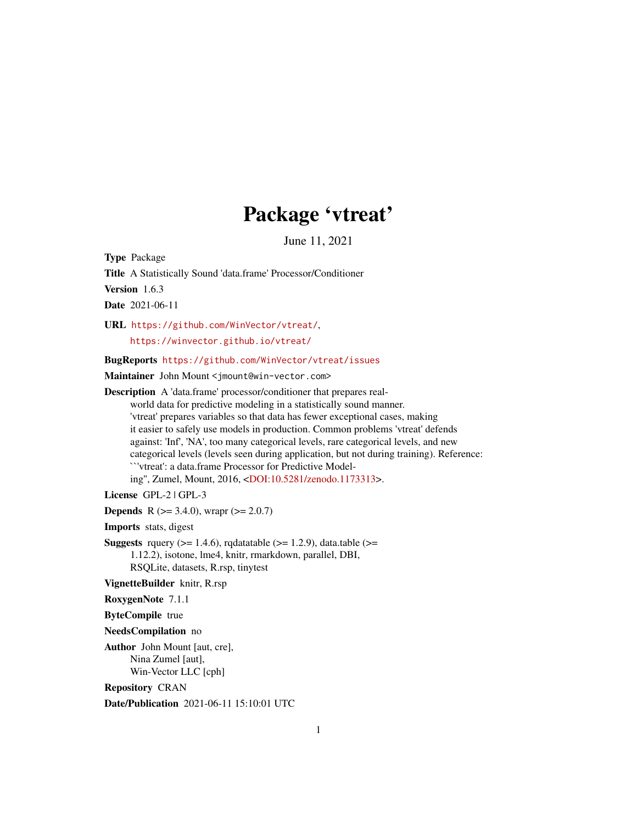# Package 'vtreat'

June 11, 2021

<span id="page-0-0"></span>Type Package

Title A Statistically Sound 'data.frame' Processor/Conditioner

Version 1.6.3

Date 2021-06-11

URL <https://github.com/WinVector/vtreat/>,

<https://winvector.github.io/vtreat/>

BugReports <https://github.com/WinVector/vtreat/issues>

Maintainer John Mount <jmount@win-vector.com>

Description A 'data.frame' processor/conditioner that prepares real-

world data for predictive modeling in a statistically sound manner. 'vtreat' prepares variables so that data has fewer exceptional cases, making it easier to safely use models in production. Common problems 'vtreat' defends against: 'Inf', 'NA', too many categorical levels, rare categorical levels, and new categorical levels (levels seen during application, but not during training). Reference: ``'vtreat': a data.frame Processor for Predictive Model-

ing'', Zumel, Mount, 2016, [<DOI:10.5281/zenodo.1173313>](https://doi.org/10.5281/zenodo.1173313).

License GPL-2 | GPL-3

**Depends** R ( $> = 3.4.0$ ), wrapr ( $>= 2.0.7$ )

Imports stats, digest

**Suggests** rquery ( $>= 1.4.6$ ), rqdatatable ( $>= 1.2.9$ ), data.table ( $>=$ 1.12.2), isotone, lme4, knitr, rmarkdown, parallel, DBI, RSQLite, datasets, R.rsp, tinytest

VignetteBuilder knitr, R.rsp

RoxygenNote 7.1.1

ByteCompile true

NeedsCompilation no

Author John Mount [aut, cre], Nina Zumel [aut], Win-Vector LLC [cph]

Repository CRAN

Date/Publication 2021-06-11 15:10:01 UTC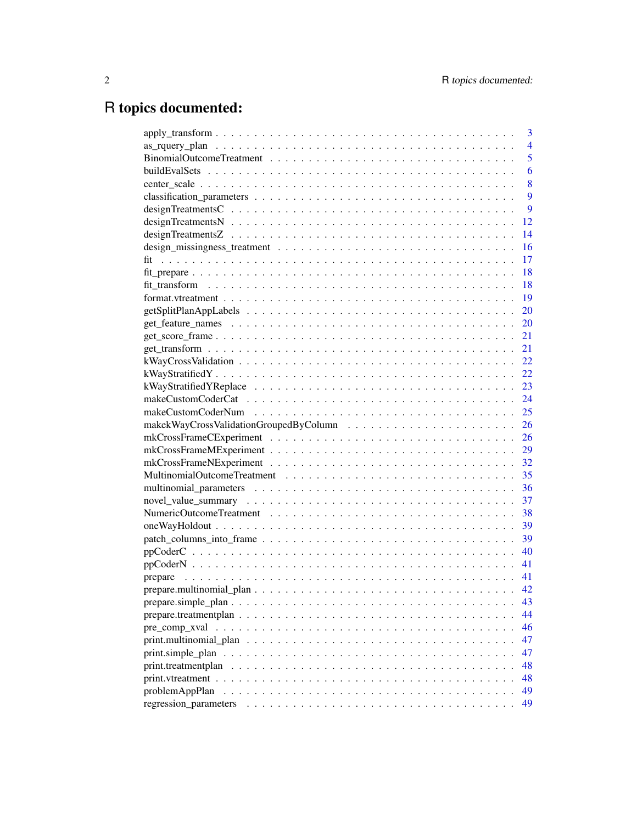# R topics documented:

|                       | 3              |
|-----------------------|----------------|
|                       | $\overline{4}$ |
|                       | 5              |
|                       | 6              |
|                       | 8              |
|                       | 9              |
|                       | 9              |
|                       | 12             |
|                       | 14             |
|                       | 16             |
|                       | 17             |
|                       | 18             |
|                       | 18             |
|                       | 19             |
|                       | 20             |
|                       | 20             |
|                       | 21             |
|                       | 21             |
|                       | 22             |
|                       | 22             |
|                       | 23             |
|                       | 24             |
|                       | 25             |
|                       | 26             |
|                       | 26             |
|                       | 29             |
|                       | 32             |
|                       | 35             |
|                       | 36             |
|                       | 37             |
|                       | 38             |
|                       | 39             |
|                       | 39             |
|                       | 40             |
|                       | 41             |
|                       | 41             |
|                       | 42             |
|                       | 43             |
|                       | 44             |
|                       | 46             |
|                       | 47             |
|                       | 47             |
|                       | 48             |
|                       | 48             |
| problemAppPlan        | 49             |
| regression_parameters | 49             |
|                       |                |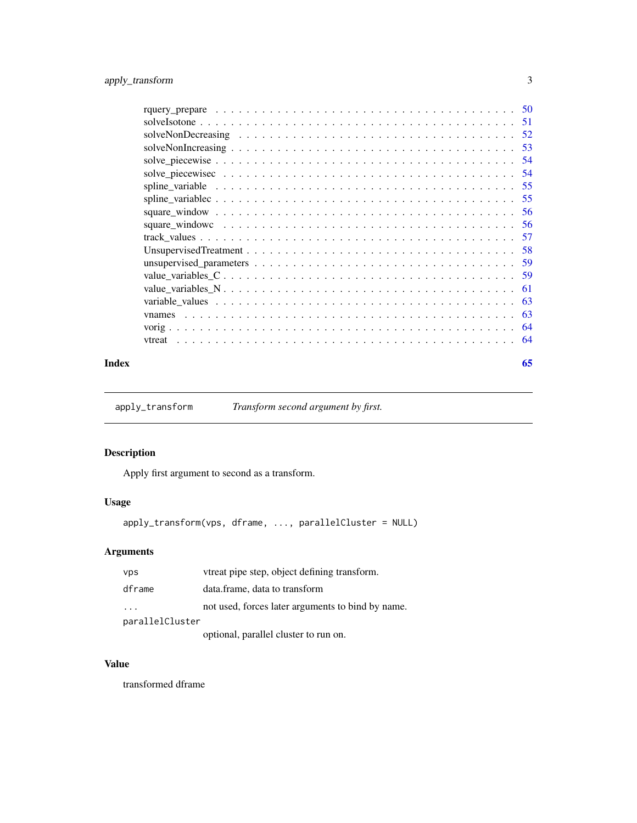<span id="page-2-0"></span>

|        | 51  |
|--------|-----|
|        | 52  |
|        | 53  |
|        | 54  |
|        | -54 |
|        |     |
|        | 55  |
|        | 56  |
|        | 56  |
|        | 57  |
|        | 58  |
|        | 59  |
|        | 59  |
|        | 61  |
|        | 63  |
| vnames | 63  |
|        | 64  |
| vtreat | 64  |
|        |     |

#### **Index** [65](#page-64-0)

apply\_transform *Transform second argument by first.*

# Description

Apply first argument to second as a transform.

# Usage

apply\_transform(vps, dframe, ..., parallelCluster = NULL)

# Arguments

| <b>VDS</b>      | vtreat pipe step, object defining transform.      |  |
|-----------------|---------------------------------------------------|--|
| dframe          | data.frame, data to transform                     |  |
| .               | not used, forces later arguments to bind by name. |  |
| parallelCluster |                                                   |  |
|                 | optional, parallel cluster to run on.             |  |

# Value

transformed dframe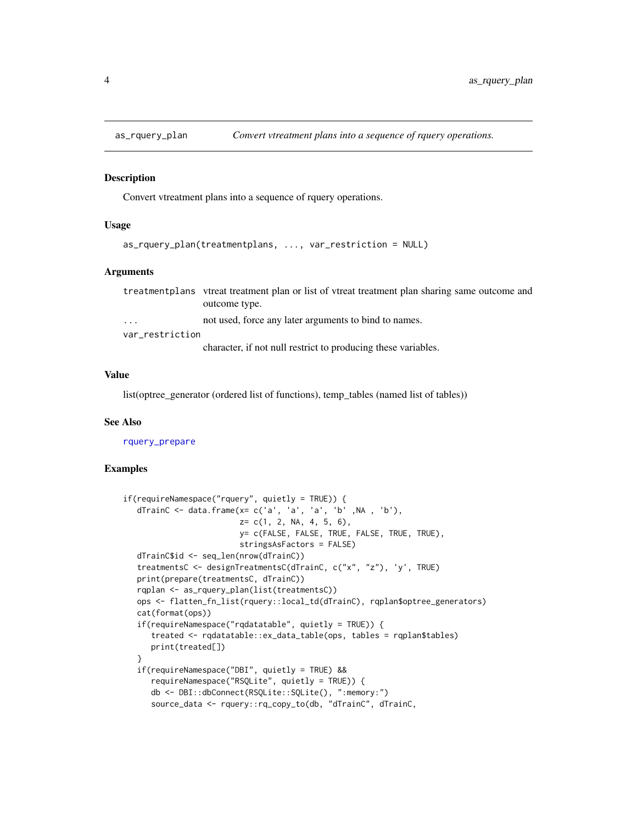<span id="page-3-1"></span><span id="page-3-0"></span>

#### Description

Convert vtreatment plans into a sequence of rquery operations.

#### Usage

```
as_rquery_plan(treatmentplans, ..., var_restriction = NULL)
```
#### Arguments

|                 | treatment plans vire treatment plan or list of vire at treatment plan sharing same outcome and |
|-----------------|------------------------------------------------------------------------------------------------|
|                 | outcome type.                                                                                  |
| $\cdots$        | not used, force any later arguments to bind to names.                                          |
| var restriction |                                                                                                |
|                 | character if not pull restrict to producing these variables                                    |

character, if not null restrict to producing these variables.

#### Value

list(optree\_generator (ordered list of functions), temp\_tables (named list of tables))

#### See Also

[rquery\\_prepare](#page-49-1)

#### Examples

```
if(requireNamespace("rquery", quietly = TRUE)) {
  dTrainC <- data.frame(x= c('a', 'a', 'a', 'b' ,NA , 'b'),
                        z= c(1, 2, NA, 4, 5, 6),y= c(FALSE, FALSE, TRUE, FALSE, TRUE, TRUE),
                        stringsAsFactors = FALSE)
  dTrainC$id <- seq_len(nrow(dTrainC))
  treatmentsC <- designTreatmentsC(dTrainC, c("x", "z"), 'y', TRUE)
  print(prepare(treatmentsC, dTrainC))
  rqplan <- as_rquery_plan(list(treatmentsC))
  ops <- flatten_fn_list(rquery::local_td(dTrainC), rqplan$optree_generators)
  cat(format(ops))
  if(requireNamespace("rqdatatable", quietly = TRUE)) {
     treated <- rqdatatable::ex_data_table(ops, tables = rqplan$tables)
     print(treated[])
  }
  if(requireNamespace("DBI", quietly = TRUE) &&
     requireNamespace("RSQLite", quietly = TRUE)) {
     db <- DBI::dbConnect(RSQLite::SQLite(), ":memory:")
     source_data <- rquery::rq_copy_to(db, "dTrainC", dTrainC,
```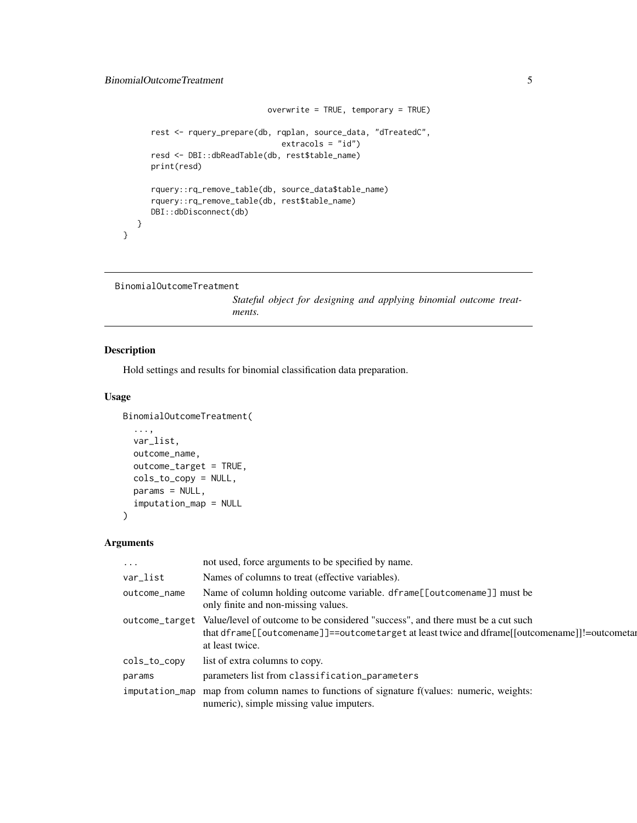```
overwrite = TRUE, temporary = TRUE)
   rest <- rquery_prepare(db, rqplan, source_data, "dTreatedC",
                               extrac{ols = "id")}resd <- DBI::dbReadTable(db, rest$table_name)
   print(resd)
   rquery::rq_remove_table(db, source_data$table_name)
   rquery::rq_remove_table(db, rest$table_name)
   DBI::dbDisconnect(db)
}
```

```
BinomialOutcomeTreatment
```
*Stateful object for designing and applying binomial outcome treatments.*

#### Description

}

Hold settings and results for binomial classification data preparation.

#### Usage

```
BinomialOutcomeTreatment(
  ...,
 var_list,
```

```
outcome_name,
outcome_target = TRUE,
cols_to_copy = NULL,
params = NULL,
imputation_map = NULL
```
#### Arguments

 $\lambda$ 

| $\cdots$       | not used, force arguments to be specified by name.                                                                                                                                                                    |
|----------------|-----------------------------------------------------------------------------------------------------------------------------------------------------------------------------------------------------------------------|
| var_list       | Names of columns to treat (effective variables).                                                                                                                                                                      |
| outcome_name   | Name of column holding outcome variable. dframe[[outcomename]] must be<br>only finite and non-missing values.                                                                                                         |
|                | outcome_target Value/level of outcome to be considered "success", and there must be a cut such<br>that dframe [[outcomename]]==outcometarget at least twice and dframe [[outcomename]]!=outcometar<br>at least twice. |
| cols_to_copy   | list of extra columns to copy.                                                                                                                                                                                        |
| params         | parameters list from classification_parameters                                                                                                                                                                        |
| imputation_map | map from column names to functions of signature f(values: numeric, weights:<br>numeric), simple missing value imputers.                                                                                               |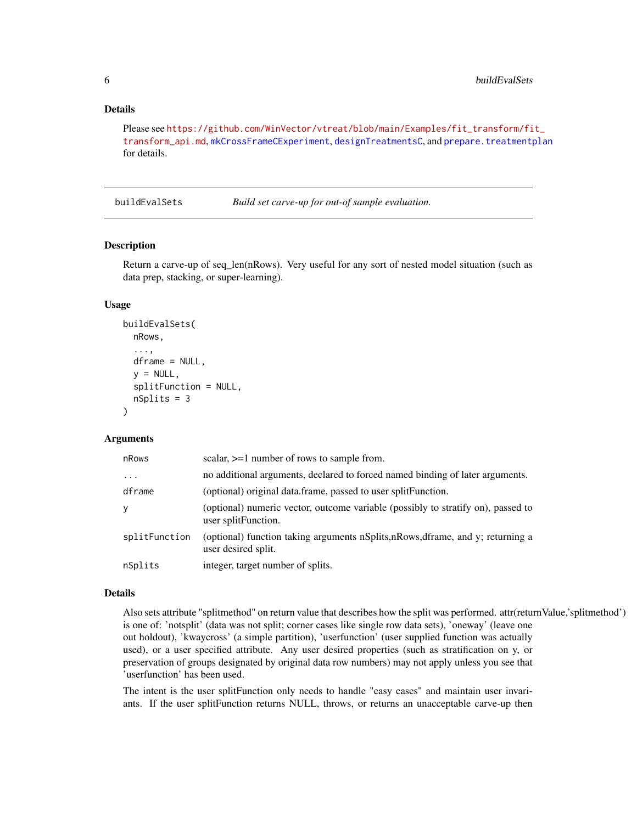#### <span id="page-5-0"></span>Details

Please see [https://github.com/WinVector/vtreat/blob/main/Examples/fit\\_transform/fi](https://github.com/WinVector/vtreat/blob/main/Examples/fit_transform/fit_transform_api.md)t\_ [transform\\_api.md](https://github.com/WinVector/vtreat/blob/main/Examples/fit_transform/fit_transform_api.md), [mkCrossFrameCExperiment](#page-25-1), [designTreatmentsC](#page-8-1), and [prepare.treatmentplan](#page-43-1) for details.

buildEvalSets *Build set carve-up for out-of sample evaluation.*

# Description

Return a carve-up of seq\_len(nRows). Very useful for any sort of nested model situation (such as data prep, stacking, or super-learning).

#### Usage

```
buildEvalSets(
  nRows,
  ...,
  dframe = NULL,
  y = NULL,splitFunction = NULL,
  nSplits = 3
)
```
#### Arguments

| nRows         | scalar, $>=1$ number of rows to sample from.                                                             |
|---------------|----------------------------------------------------------------------------------------------------------|
| $\cdots$      | no additional arguments, declared to forced named binding of later arguments.                            |
| dframe        | (optional) original data frame, passed to user split Function.                                           |
| y             | (optional) numeric vector, outcome variable (possibly to stratify on), passed to<br>user split Function. |
| splitFunction | (optional) function taking arguments nSplits, nRows, dframe, and y; returning a<br>user desired split.   |
| nSplits       | integer, target number of splits.                                                                        |

#### Details

Also sets attribute "splitmethod" on return value that describes how the split was performed. attr(returnValue,'splitmethod') is one of: 'notsplit' (data was not split; corner cases like single row data sets), 'oneway' (leave one out holdout), 'kwaycross' (a simple partition), 'userfunction' (user supplied function was actually used), or a user specified attribute. Any user desired properties (such as stratification on y, or preservation of groups designated by original data row numbers) may not apply unless you see that 'userfunction' has been used.

The intent is the user splitFunction only needs to handle "easy cases" and maintain user invariants. If the user splitFunction returns NULL, throws, or returns an unacceptable carve-up then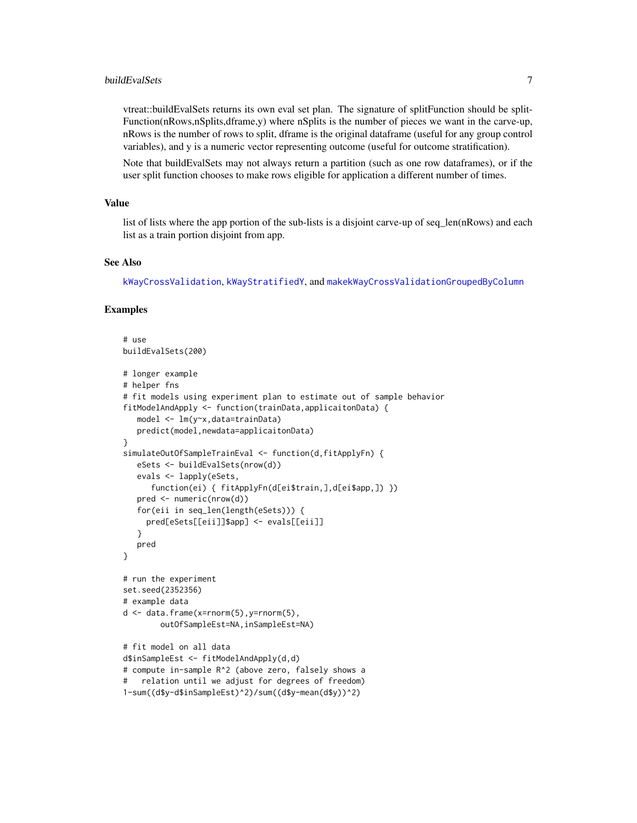#### <span id="page-6-0"></span>buildEvalSets 7

vtreat::buildEvalSets returns its own eval set plan. The signature of splitFunction should be split-Function(nRows,nSplits,dframe,y) where nSplits is the number of pieces we want in the carve-up, nRows is the number of rows to split, dframe is the original dataframe (useful for any group control variables), and y is a numeric vector representing outcome (useful for outcome stratification).

Note that buildEvalSets may not always return a partition (such as one row dataframes), or if the user split function chooses to make rows eligible for application a different number of times.

#### Value

list of lists where the app portion of the sub-lists is a disjoint carve-up of seq\_len(nRows) and each list as a train portion disjoint from app.

#### See Also

[kWayCrossValidation](#page-21-1), [kWayStratifiedY](#page-21-2), and [makekWayCrossValidationGroupedByColumn](#page-25-2)

#### Examples

```
# use
buildEvalSets(200)
# longer example
# helper fns
# fit models using experiment plan to estimate out of sample behavior
fitModelAndApply <- function(trainData,applicaitonData) {
  model <- lm(y~x,data=trainData)
  predict(model,newdata=applicaitonData)
}
simulateOutOfSampleTrainEval <- function(d,fitApplyFn) {
  eSets <- buildEvalSets(nrow(d))
  evals <- lapply(eSets,
     function(ei) { fitApplyFn(d[ei$train,],d[ei$app,]) })
   pred <- numeric(nrow(d))
   for(eii in seq_len(length(eSets))) {
     pred[eSets[[eii]]$app] <- evals[[eii]]
   }
   pred
}
# run the experiment
set.seed(2352356)
# example data
d <- data.frame(x=rnorm(5),y=rnorm(5),
       outOfSampleEst=NA,inSampleEst=NA)
# fit model on all data
d$inSampleEst <- fitModelAndApply(d,d)
# compute in-sample R^2 (above zero, falsely shows a
# relation until we adjust for degrees of freedom)
1-sum((d$y-d$inSampleEst)^2)/sum((d$y-mean(d$y))^2)
```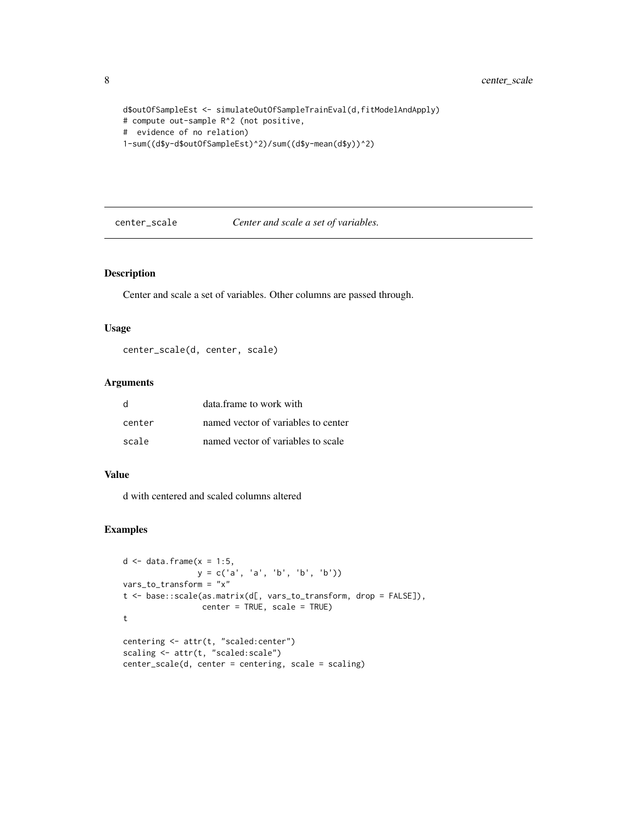```
d$outOfSampleEst <- simulateOutOfSampleTrainEval(d,fitModelAndApply)
# compute out-sample R^2 (not positive,
# evidence of no relation)
1-sum((d$y-d$outOfSampleEst)^2)/sum((d$y-mean(d$y))^2)
```
center\_scale *Center and scale a set of variables.*

### Description

Center and scale a set of variables. Other columns are passed through.

#### Usage

```
center_scale(d, center, scale)
```
#### Arguments

| d      | data frame to work with             |
|--------|-------------------------------------|
| center | named vector of variables to center |
| scale  | named vector of variables to scale  |

#### Value

d with centered and scaled columns altered

#### Examples

```
d \le - data.frame(x = 1:5,
               y = c('a', 'a', 'b', 'b', 'b'))vars_to_transform = "x"
t <- base::scale(as.matrix(d[, vars_to_transform, drop = FALSE]),
                 center = TRUE, scale = TRUE)
t
centering <- attr(t, "scaled:center")
scaling <- attr(t, "scaled:scale")
center_scale(d, center = centering, scale = scaling)
```
<span id="page-7-0"></span>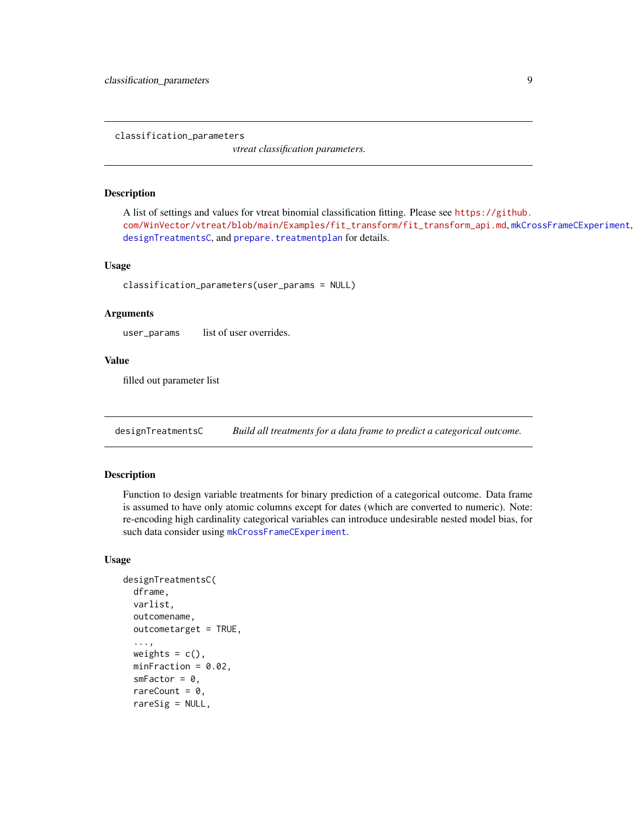<span id="page-8-0"></span>classification\_parameters

*vtreat classification parameters.*

#### Description

A list of settings and values for vtreat binomial classification fitting. Please see [https://github.](https://github.com/WinVector/vtreat/blob/main/Examples/fit_transform/fit_transform_api.md) [com/WinVector/vtreat/blob/main/Examples/fit\\_transform/fit\\_transform\\_api.md](https://github.com/WinVector/vtreat/blob/main/Examples/fit_transform/fit_transform_api.md), [mkCrossFrameCExperiment](#page-25-1), [designTreatmentsC](#page-8-1), and [prepare.treatmentplan](#page-43-1) for details.

#### Usage

classification\_parameters(user\_params = NULL)

#### Arguments

user\_params list of user overrides.

#### Value

filled out parameter list

<span id="page-8-1"></span>designTreatmentsC *Build all treatments for a data frame to predict a categorical outcome.*

#### Description

Function to design variable treatments for binary prediction of a categorical outcome. Data frame is assumed to have only atomic columns except for dates (which are converted to numeric). Note: re-encoding high cardinality categorical variables can introduce undesirable nested model bias, for such data consider using [mkCrossFrameCExperiment](#page-25-1).

#### Usage

```
designTreatmentsC(
  dframe,
  varlist,
  outcomename,
  outcometarget = TRUE,
  ...,
 weights = c(),
 minFraction = 0.02,
  smFactor = 0,rareCount = 0,
  rareSig = NULL,
```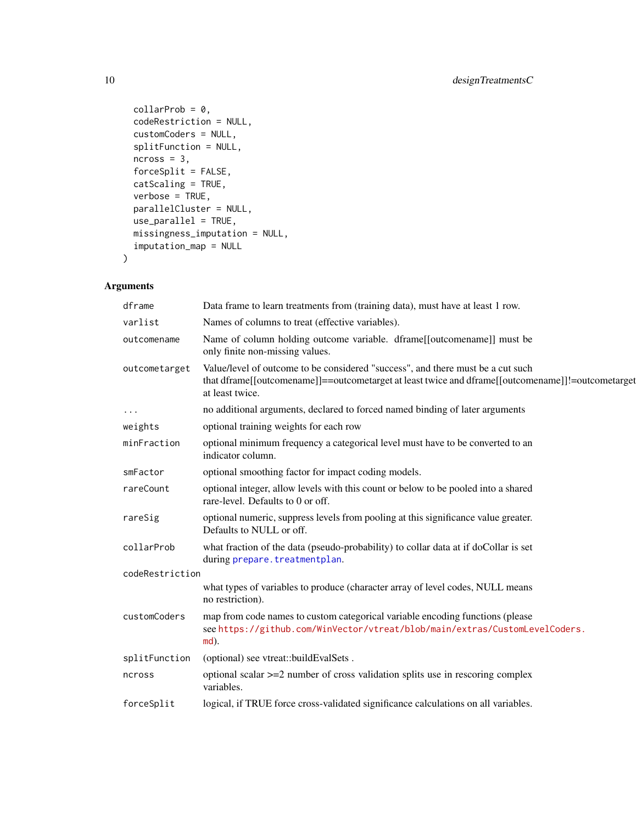```
collarProb = 0,
 codeRestriction = NULL,
 customCoders = NULL,
 splitFunction = NULL,
 ncross = 3,forceSplit = FALSE,
 catScaling = TRUE,
 verbose = TRUE,
 parallelCluster = NULL,
 use_parallel = TRUE,
 missingness_imputation = NULL,
 imputation_map = NULL
)
```

| dframe          | Data frame to learn treatments from (training data), must have at least 1 row.                                                                                                                                 |
|-----------------|----------------------------------------------------------------------------------------------------------------------------------------------------------------------------------------------------------------|
| varlist         | Names of columns to treat (effective variables).                                                                                                                                                               |
| outcomename     | Name of column holding outcome variable. dframe[[outcomename]] must be<br>only finite non-missing values.                                                                                                      |
| outcometarget   | Value/level of outcome to be considered "success", and there must be a cut such<br>that dframe [[outcomename]] = = outcometarget at least twice and dframe [[outcomename]]! = outcometarget<br>at least twice. |
| $\cdots$        | no additional arguments, declared to forced named binding of later arguments                                                                                                                                   |
| weights         | optional training weights for each row                                                                                                                                                                         |
| minFraction     | optional minimum frequency a categorical level must have to be converted to an<br>indicator column.                                                                                                            |
| smFactor        | optional smoothing factor for impact coding models.                                                                                                                                                            |
| rareCount       | optional integer, allow levels with this count or below to be pooled into a shared<br>rare-level. Defaults to 0 or off.                                                                                        |
| rareSig         | optional numeric, suppress levels from pooling at this significance value greater.<br>Defaults to NULL or off.                                                                                                 |
| collarProb      | what fraction of the data (pseudo-probability) to collar data at if doCollar is set<br>during prepare.treatmentplan.                                                                                           |
| codeRestriction |                                                                                                                                                                                                                |
|                 | what types of variables to produce (character array of level codes, NULL means<br>no restriction).                                                                                                             |
| customCoders    | map from code names to custom categorical variable encoding functions (please<br>see https://github.com/WinVector/vtreat/blob/main/extras/CustomLevelCoders.<br>md).                                           |
| splitFunction   | (optional) see vtreat::buildEvalSets.                                                                                                                                                                          |
| ncross          | optional scalar $>=$ 2 number of cross validation splits use in rescoring complex<br>variables.                                                                                                                |
| forceSplit      | logical, if TRUE force cross-validated significance calculations on all variables.                                                                                                                             |
|                 |                                                                                                                                                                                                                |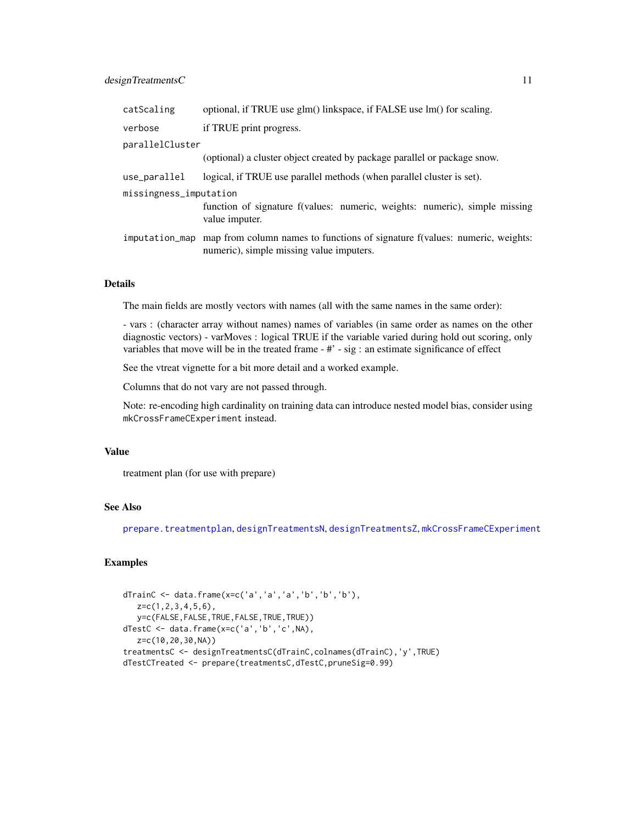#### <span id="page-10-0"></span>designTreatmentsC 11

| catScaling             | optional, if TRUE use glm() linkspace, if FALSE use lm() for scaling.                                                                  |  |
|------------------------|----------------------------------------------------------------------------------------------------------------------------------------|--|
| verbose                | if TRUE print progress.                                                                                                                |  |
| parallelCluster        |                                                                                                                                        |  |
|                        | (optional) a cluster object created by package parallel or package snow.                                                               |  |
| use_parallel           | logical, if TRUE use parallel methods (when parallel cluster is set).                                                                  |  |
| missingness_imputation |                                                                                                                                        |  |
|                        | function of signature f(values: numeric, weights: numeric), simple missing<br>value imputer.                                           |  |
|                        | imputation_map map from column names to functions of signature f(values: numeric, weights:<br>numeric), simple missing value imputers. |  |

#### Details

The main fields are mostly vectors with names (all with the same names in the same order):

- vars : (character array without names) names of variables (in same order as names on the other diagnostic vectors) - varMoves : logical TRUE if the variable varied during hold out scoring, only variables that move will be in the treated frame - #' - sig : an estimate significance of effect

See the vtreat vignette for a bit more detail and a worked example.

Columns that do not vary are not passed through.

Note: re-encoding high cardinality on training data can introduce nested model bias, consider using mkCrossFrameCExperiment instead.

#### Value

treatment plan (for use with prepare)

#### See Also

[prepare.treatmentplan](#page-43-1), [designTreatmentsN](#page-11-1), [designTreatmentsZ](#page-13-1), [mkCrossFrameCExperiment](#page-25-1)

#### Examples

```
dTrainC <- data.frame(x=c('a','a','a','b','b','b'),
  z=c(1,2,3,4,5,6),
  y=c(FALSE,FALSE,TRUE,FALSE,TRUE,TRUE))
dTestC <- data.frame(x=c('a','b','c',NA),
  z=c(10,20,30,NA))
treatmentsC <- designTreatmentsC(dTrainC,colnames(dTrainC),'y',TRUE)
dTestCTreated <- prepare(treatmentsC,dTestC,pruneSig=0.99)
```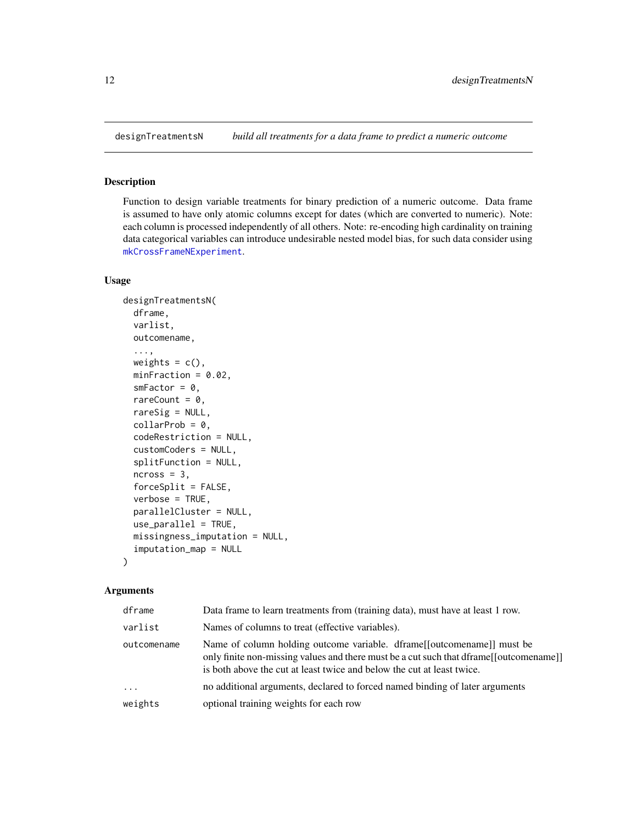<span id="page-11-1"></span><span id="page-11-0"></span>

# Description

Function to design variable treatments for binary prediction of a numeric outcome. Data frame is assumed to have only atomic columns except for dates (which are converted to numeric). Note: each column is processed independently of all others. Note: re-encoding high cardinality on training data categorical variables can introduce undesirable nested model bias, for such data consider using [mkCrossFrameNExperiment](#page-31-1).

# Usage

```
designTreatmentsN(
  dframe,
  varlist,
 outcomename,
  ...,
 weights = c(),
 minFraction = 0.02,
  smFactor = 0,
  rareCount = 0,
  rareSig = NULL,
  collarProb = 0,
  codeRestriction = NULL,
  customCoders = NULL,
  splitFunction = NULL,
  ncross = 3,
  forceSplit = FALSE,
  verbose = TRUE,
  parallelCluster = NULL,
  use_parallel = TRUE,
 missingness_imputation = NULL,
  imputation_map = NULL
)
```

| dframe                  | Data frame to learn treatments from (training data), must have at least 1 row.                                                                                                                                                               |
|-------------------------|----------------------------------------------------------------------------------------------------------------------------------------------------------------------------------------------------------------------------------------------|
| varlist                 | Names of columns to treat (effective variables).                                                                                                                                                                                             |
| outcomename             | Name of column holding outcome variable. dframe [[outcomename]] must be<br>only finite non-missing values and there must be a cut such that dframe [[outcomename]]<br>is both above the cut at least twice and below the cut at least twice. |
| $\cdot$ $\cdot$ $\cdot$ | no additional arguments, declared to forced named binding of later arguments                                                                                                                                                                 |
| weights                 | optional training weights for each row                                                                                                                                                                                                       |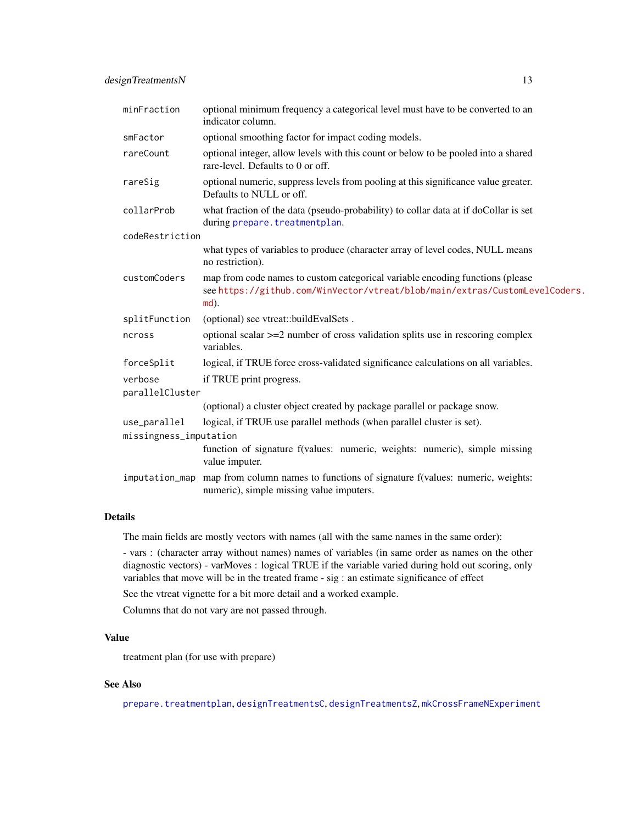<span id="page-12-0"></span>

| minFraction            | optional minimum frequency a categorical level must have to be converted to an<br>indicator column.                                                                     |
|------------------------|-------------------------------------------------------------------------------------------------------------------------------------------------------------------------|
| smFactor               | optional smoothing factor for impact coding models.                                                                                                                     |
| rareCount              | optional integer, allow levels with this count or below to be pooled into a shared<br>rare-level. Defaults to 0 or off.                                                 |
| rareSig                | optional numeric, suppress levels from pooling at this significance value greater.<br>Defaults to NULL or off.                                                          |
| collarProb             | what fraction of the data (pseudo-probability) to collar data at if doCollar is set<br>during prepare.treatmentplan.                                                    |
| codeRestriction        |                                                                                                                                                                         |
|                        | what types of variables to produce (character array of level codes, NULL means<br>no restriction).                                                                      |
| customCoders           | map from code names to custom categorical variable encoding functions (please<br>see https://github.com/WinVector/vtreat/blob/main/extras/CustomLevelCoders.<br>$md$ ). |
| splitFunction          | (optional) see vtreat::buildEvalSets.                                                                                                                                   |
| ncross                 | optional scalar $>=$ 2 number of cross validation splits use in rescoring complex<br>variables.                                                                         |
| forceSplit             | logical, if TRUE force cross-validated significance calculations on all variables.                                                                                      |
| verbose                | if TRUE print progress.                                                                                                                                                 |
| parallelCluster        |                                                                                                                                                                         |
|                        | (optional) a cluster object created by package parallel or package snow.                                                                                                |
| use_parallel           | logical, if TRUE use parallel methods (when parallel cluster is set).                                                                                                   |
| missingness_imputation |                                                                                                                                                                         |
|                        | function of signature f(values: numeric, weights: numeric), simple missing<br>value imputer.                                                                            |
| imputation_map         | map from column names to functions of signature f(values: numeric, weights:<br>numeric), simple missing value imputers.                                                 |

#### Details

The main fields are mostly vectors with names (all with the same names in the same order):

- vars : (character array without names) names of variables (in same order as names on the other diagnostic vectors) - varMoves : logical TRUE if the variable varied during hold out scoring, only variables that move will be in the treated frame - sig : an estimate significance of effect

See the vtreat vignette for a bit more detail and a worked example.

Columns that do not vary are not passed through.

# Value

treatment plan (for use with prepare)

#### See Also

[prepare.treatmentplan](#page-43-1), [designTreatmentsC](#page-8-1), [designTreatmentsZ](#page-13-1), [mkCrossFrameNExperiment](#page-31-1)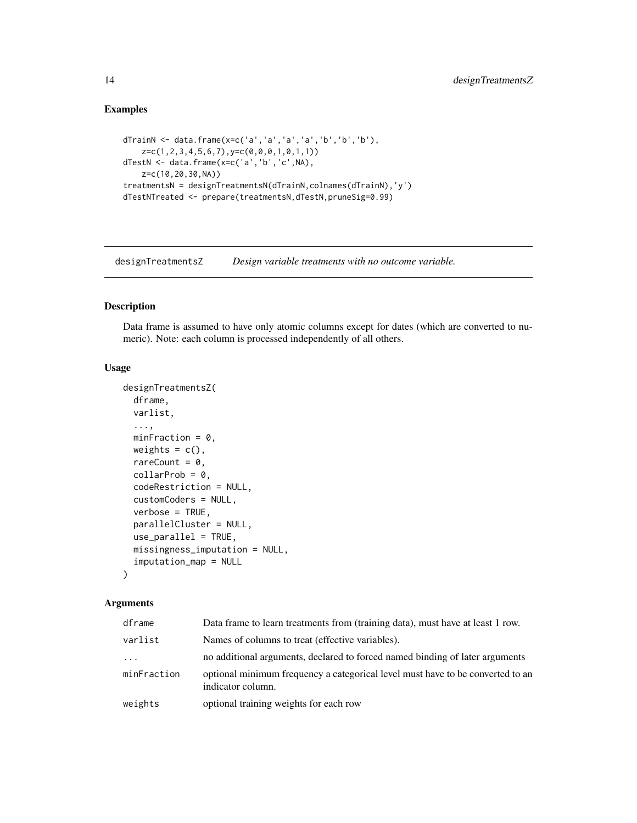## Examples

```
dTrainN <- data.frame(x=c('a','a','a','a','b','b','b'),
   z=c(1,2,3,4,5,6,7),y=c(0,0,0,1,0,1,1))
dTestN <- data.frame(x=c('a','b','c',NA),
   z=c(10,20,30,NA))
treatmentsN = designTreatmentsN(dTrainN,colnames(dTrainN),'y')
dTestNTreated <- prepare(treatmentsN,dTestN,pruneSig=0.99)
```
<span id="page-13-1"></span>designTreatmentsZ *Design variable treatments with no outcome variable.*

#### Description

Data frame is assumed to have only atomic columns except for dates (which are converted to numeric). Note: each column is processed independently of all others.

#### Usage

```
designTreatmentsZ(
  dframe,
 varlist,
  ...,
 minFraction = 0,weights = c(),
  rareCount = 0,collarProb = 0,
  codeRestriction = NULL,
  customCoders = NULL,
  verbose = TRUE,
 parallelCluster = NULL,
 use_parallel = TRUE,
 missingness_imputation = NULL,
  imputation_map = NULL
\lambda
```

| dframe      | Data frame to learn treatments from (training data), must have at least 1 row.                      |
|-------------|-----------------------------------------------------------------------------------------------------|
| varlist     | Names of columns to treat (effective variables).                                                    |
| $\cdots$    | no additional arguments, declared to forced named binding of later arguments                        |
| minFraction | optional minimum frequency a categorical level must have to be converted to an<br>indicator column. |
| weights     | optional training weights for each row                                                              |

<span id="page-13-0"></span>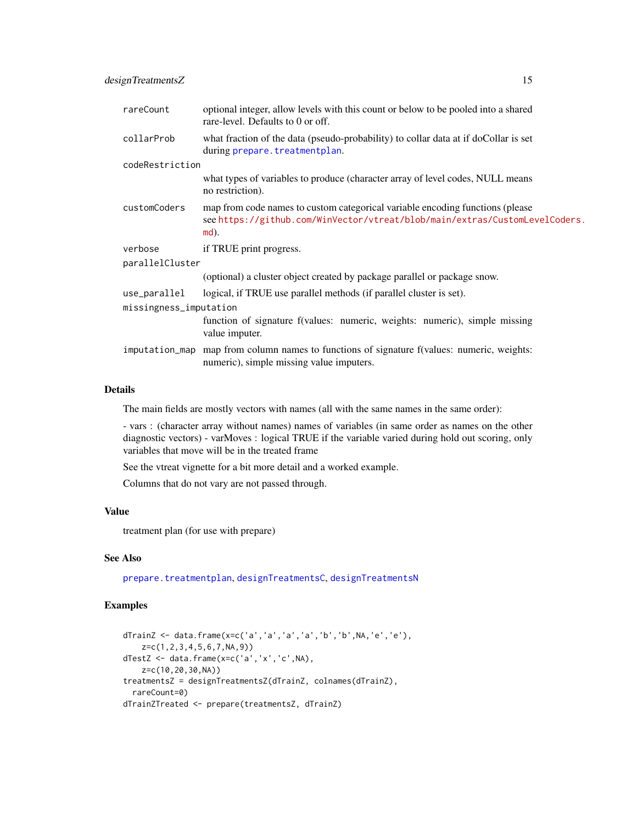<span id="page-14-0"></span>designTreatmentsZ 15

| rareCount              | optional integer, allow levels with this count or below to be pooled into a shared<br>rare-level. Defaults to 0 or off.                                                |  |
|------------------------|------------------------------------------------------------------------------------------------------------------------------------------------------------------------|--|
| collarProb             | what fraction of the data (pseudo-probability) to collar data at if do Collar is set<br>during prepare.treatmentplan.                                                  |  |
| codeRestriction        |                                                                                                                                                                        |  |
|                        | what types of variables to produce (character array of level codes, NULL means<br>no restriction).                                                                     |  |
| customCoders           | map from code names to custom categorical variable encoding functions (please<br>seehttps://github.com/WinVector/vtreat/blob/main/extras/CustomLevelCoders.<br>$md$ ). |  |
| verbose                | if TRUE print progress.                                                                                                                                                |  |
| parallelCluster        |                                                                                                                                                                        |  |
|                        | (optional) a cluster object created by package parallel or package snow.                                                                                               |  |
| use_parallel           | logical, if TRUE use parallel methods (if parallel cluster is set).                                                                                                    |  |
| missingness_imputation |                                                                                                                                                                        |  |
|                        | function of signature f(values: numeric, weights: numeric), simple missing<br>value imputer.                                                                           |  |
|                        | imputation_map map from column names to functions of signature f(values: numeric, weights:<br>numeric), simple missing value imputers.                                 |  |

#### Details

The main fields are mostly vectors with names (all with the same names in the same order):

- vars : (character array without names) names of variables (in same order as names on the other diagnostic vectors) - varMoves : logical TRUE if the variable varied during hold out scoring, only variables that move will be in the treated frame

See the vtreat vignette for a bit more detail and a worked example.

Columns that do not vary are not passed through.

#### Value

treatment plan (for use with prepare)

## See Also

[prepare.treatmentplan](#page-43-1), [designTreatmentsC](#page-8-1), [designTreatmentsN](#page-11-1)

# Examples

```
dTrainZ <- data.frame(x=c('a','a','a','a','b','b',NA,'e','e'),
    z=c(1,2,3,4,5,6,7,NA,9))
dTestZ <- data.frame(x=c('a','x','c',NA),
   z=c(10,20,30,NA))
treatmentsZ = designTreatmentsZ(dTrainZ, colnames(dTrainZ),
  rareCount=0)
dTrainZTreated <- prepare(treatmentsZ, dTrainZ)
```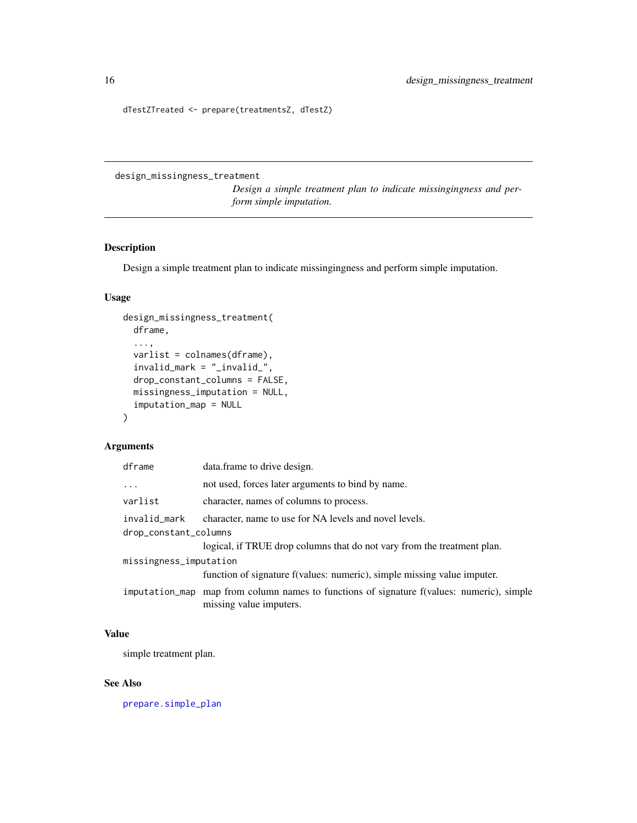<span id="page-15-0"></span>dTestZTreated <- prepare(treatmentsZ, dTestZ)

<span id="page-15-1"></span>design\_missingness\_treatment

*Design a simple treatment plan to indicate missingingness and perform simple imputation.*

#### Description

Design a simple treatment plan to indicate missingingness and perform simple imputation.

#### Usage

```
design_missingness_treatment(
 dframe,
  ...,
  varlist = colnames(dframe),
  invalid_mark = "_invalid_",
  drop_constant_columns = FALSE,
 missingness_imputation = NULL,
  imputation_map = NULL
\mathcal{L}
```
# Arguments

| dframe                 | data.frame to drive design.                                                                                          |  |
|------------------------|----------------------------------------------------------------------------------------------------------------------|--|
| $\cdots$               | not used, forces later arguments to bind by name.                                                                    |  |
| varlist                | character, names of columns to process.                                                                              |  |
| invalid_mark           | character, name to use for NA levels and novel levels.                                                               |  |
| drop_constant_columns  |                                                                                                                      |  |
|                        | logical, if TRUE drop columns that do not vary from the treatment plan.                                              |  |
| missingness_imputation |                                                                                                                      |  |
|                        | function of signature f(values: numeric), simple missing value imputer.                                              |  |
|                        | imputation_map map from column names to functions of signature f(values: numeric), simple<br>missing value imputers. |  |

## Value

simple treatment plan.

#### See Also

[prepare.simple\\_plan](#page-42-1)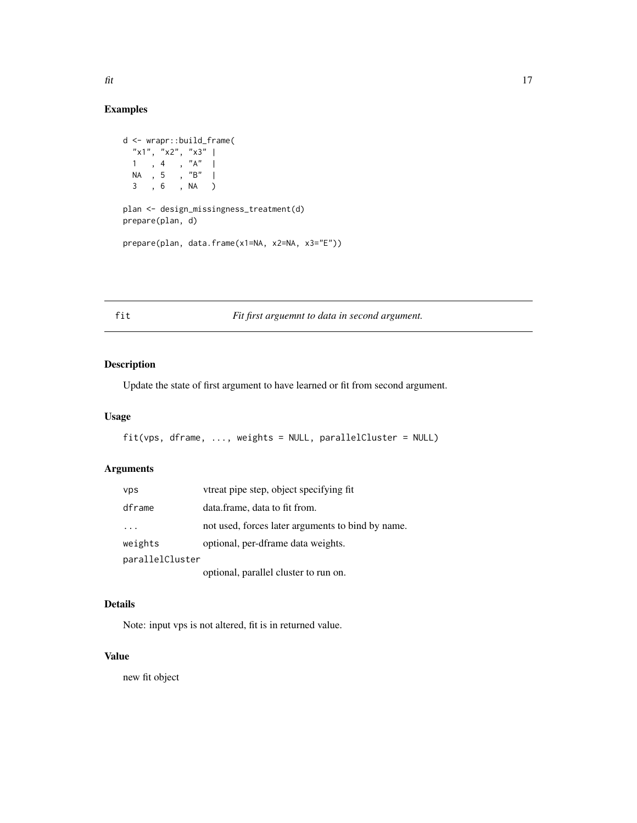# Examples

```
d <- wrapr::build_frame(
 "x1", "x2", "x3" |
  1, 4, '''A''NA , 5 , "B" |
 3 , 6 , NA )
plan <- design_missingness_treatment(d)
prepare(plan, d)
prepare(plan, data.frame(x1=NA, x2=NA, x3="E"))
```
# fit *Fit first arguemnt to data in second argument.*

# Description

Update the state of first argument to have learned or fit from second argument.

#### Usage

```
fit(vps, dframe, ..., weights = NULL, parallelCluster = NULL)
```
#### Arguments

| <b>VDS</b>      | vtreat pipe step, object specifying fit           |
|-----------------|---------------------------------------------------|
| dframe          | data.frame, data to fit from.                     |
| $\cdot$         | not used, forces later arguments to bind by name. |
| weights         | optional, per-dframe data weights.                |
| parallelCluster |                                                   |
|                 | optional, parallel cluster to run on.             |

#### Details

Note: input vps is not altered, fit is in returned value.

#### Value

new fit object

<span id="page-16-0"></span>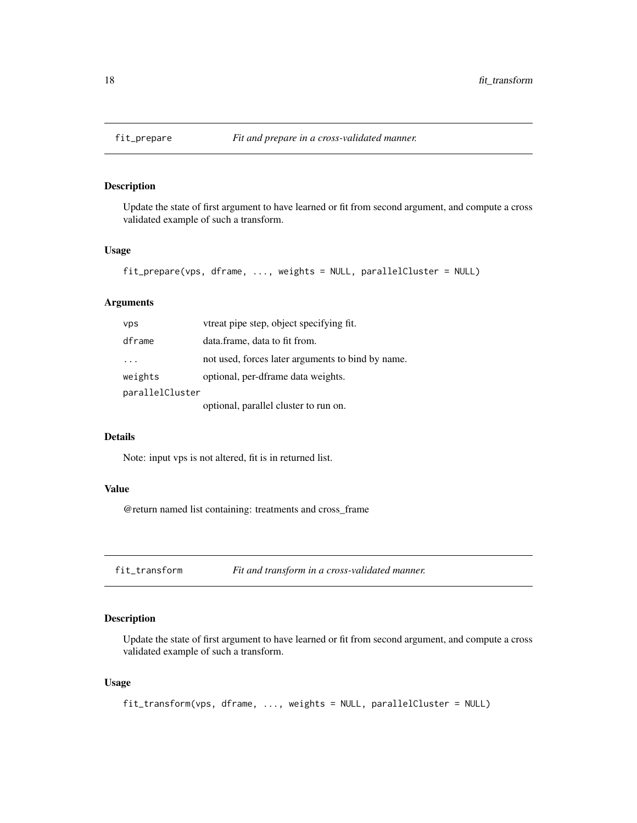<span id="page-17-0"></span>

#### Description

Update the state of first argument to have learned or fit from second argument, and compute a cross validated example of such a transform.

#### Usage

```
fit_prepare(vps, dframe, ..., weights = NULL, parallelCluster = NULL)
```
#### Arguments

| vps             | vtreat pipe step, object specifying fit.          |
|-----------------|---------------------------------------------------|
| dframe          | data.frame, data to fit from.                     |
|                 | not used, forces later arguments to bind by name. |
| weights         | optional, per-dframe data weights.                |
| parallelCluster |                                                   |
|                 | optional, parallel cluster to run on.             |

#### Details

Note: input vps is not altered, fit is in returned list.

#### Value

@return named list containing: treatments and cross\_frame

#### Description

Update the state of first argument to have learned or fit from second argument, and compute a cross validated example of such a transform.

#### Usage

fit\_transform(vps, dframe, ..., weights = NULL, parallelCluster = NULL)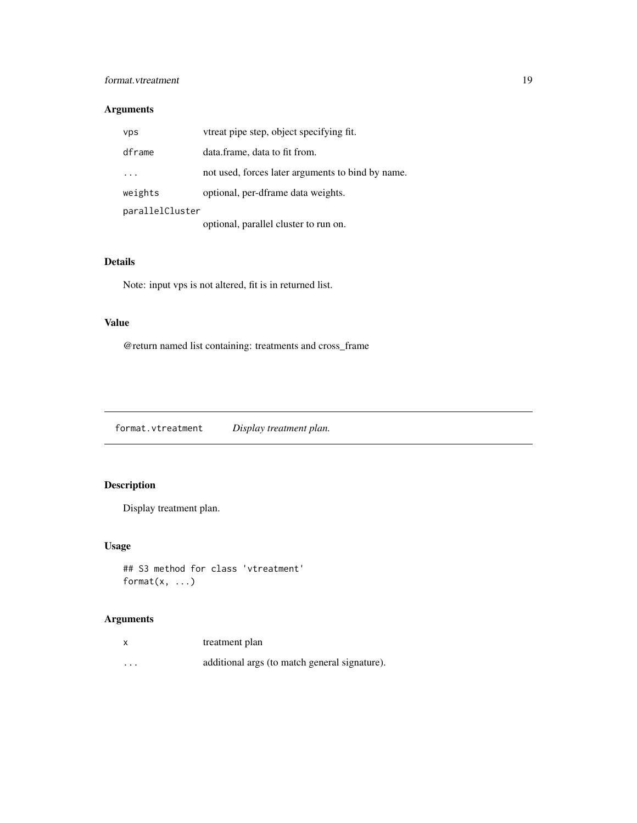# <span id="page-18-0"></span>format.vtreatment 19

# Arguments

| vps             | vtreat pipe step, object specifying fit.          |
|-----------------|---------------------------------------------------|
| dframe          | data.frame, data to fit from.                     |
|                 | not used, forces later arguments to bind by name. |
| weights         | optional, per-dframe data weights.                |
| parallelCluster |                                                   |
|                 | optional, parallel cluster to run on.             |

# Details

Note: input vps is not altered, fit is in returned list.

# Value

@return named list containing: treatments and cross\_frame

format.vtreatment *Display treatment plan.*

# Description

Display treatment plan.

# Usage

```
## S3 method for class 'vtreatment'
format(x, \ldots)
```

|          | treatment plan                                |
|----------|-----------------------------------------------|
| $\cdots$ | additional args (to match general signature). |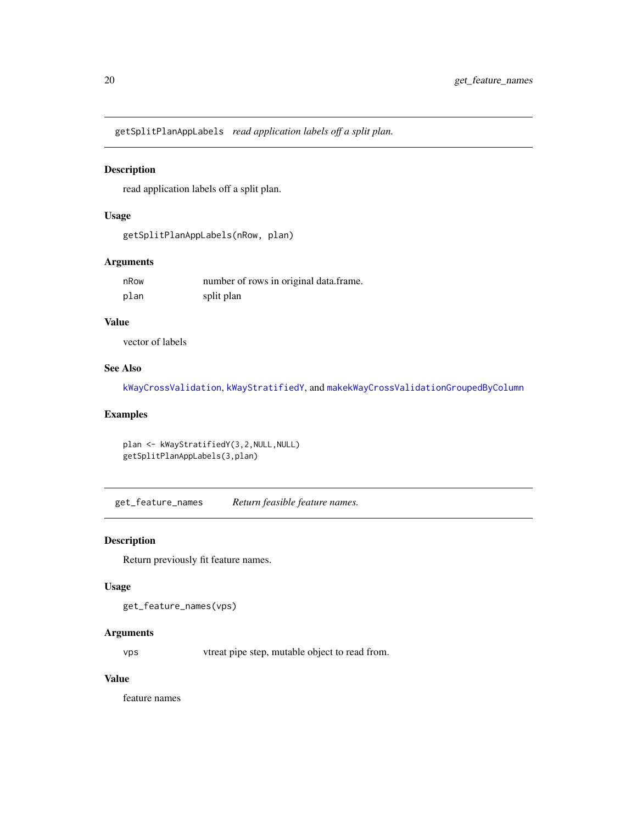<span id="page-19-0"></span>getSplitPlanAppLabels *read application labels off a split plan.*

# Description

read application labels off a split plan.

#### Usage

```
getSplitPlanAppLabels(nRow, plan)
```
# Arguments

| nRow | number of rows in original data.frame. |
|------|----------------------------------------|
| plan | split plan                             |

# Value

vector of labels

#### See Also

[kWayCrossValidation](#page-21-1), [kWayStratifiedY](#page-21-2), and [makekWayCrossValidationGroupedByColumn](#page-25-2)

#### Examples

```
plan <- kWayStratifiedY(3,2,NULL,NULL)
getSplitPlanAppLabels(3,plan)
```
get\_feature\_names *Return feasible feature names.*

#### Description

Return previously fit feature names.

#### Usage

get\_feature\_names(vps)

#### Arguments

vps vtreat pipe step, mutable object to read from.

#### Value

feature names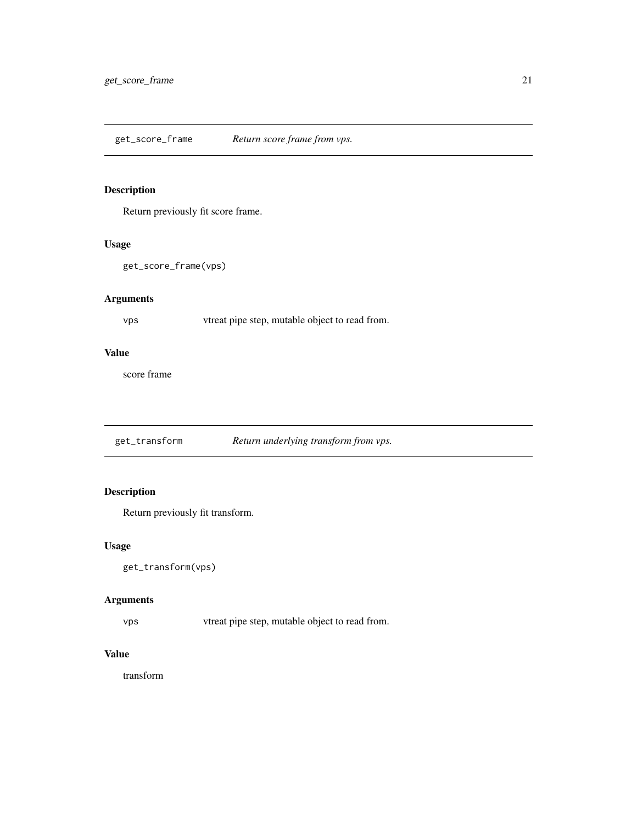# <span id="page-20-0"></span>Description

Return previously fit score frame.

#### Usage

get\_score\_frame(vps)

# Arguments

vps vtreat pipe step, mutable object to read from.

# Value

score frame

get\_transform *Return underlying transform from vps.*

# Description

Return previously fit transform.

# Usage

```
get_transform(vps)
```
# Arguments

vps vtreat pipe step, mutable object to read from.

# Value

transform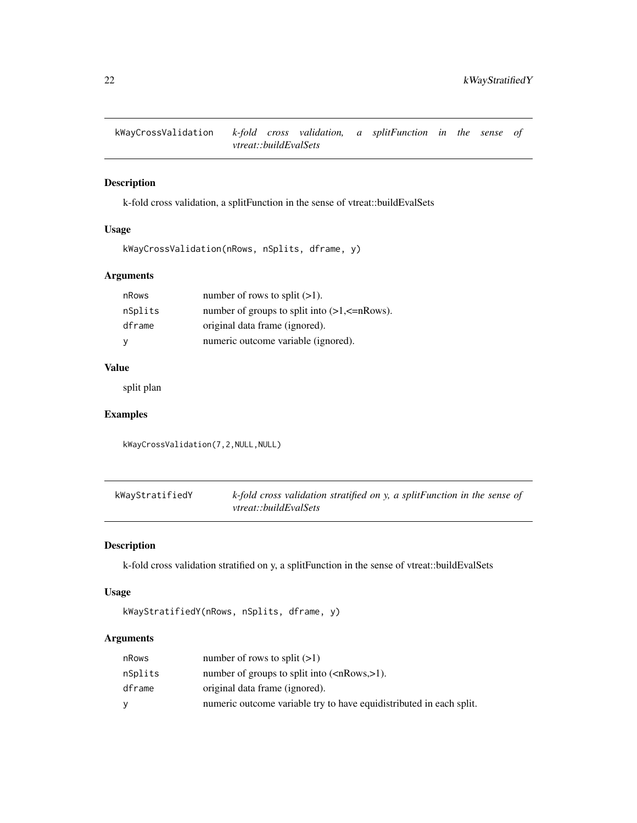<span id="page-21-1"></span><span id="page-21-0"></span>kWayCrossValidation *k-fold cross validation, a splitFunction in the sense of vtreat::buildEvalSets*

# Description

k-fold cross validation, a splitFunction in the sense of vtreat::buildEvalSets

# Usage

```
kWayCrossValidation(nRows, nSplits, dframe, y)
```
# Arguments

| nRows   | number of rows to split $(>1)$ .                |
|---------|-------------------------------------------------|
| nSplits | number of groups to split into $(>1,<=nRows)$ . |
| dframe  | original data frame (ignored).                  |
|         | numeric outcome variable (ignored).             |

#### Value

split plan

# Examples

kWayCrossValidation(7,2,NULL,NULL)

<span id="page-21-2"></span>

| kWayStratifiedY | $k$ -fold cross validation stratified on y, a split Function in the sense of |
|-----------------|------------------------------------------------------------------------------|
|                 | vtreat::buildEvalSets                                                        |

# Description

k-fold cross validation stratified on y, a splitFunction in the sense of vtreat::buildEvalSets

#### Usage

```
kWayStratifiedY(nRows, nSplits, dframe, y)
```

| nRows   | number of rows to split $(>1)$                                      |
|---------|---------------------------------------------------------------------|
| nSplits | number of groups to split into $(\langle nRows, >1)$ .              |
| dframe  | original data frame (ignored).                                      |
| ۷       | numeric outcome variable try to have equidistributed in each split. |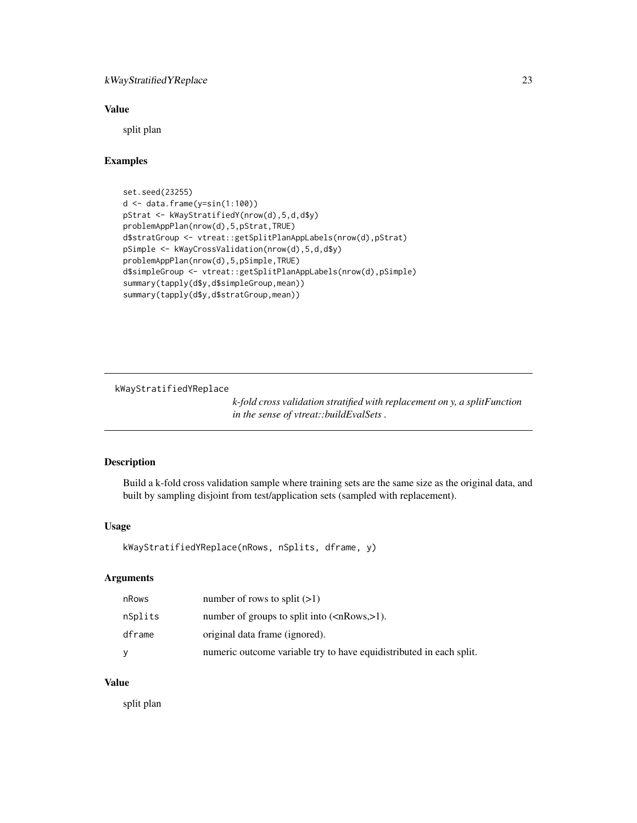# <span id="page-22-0"></span>kWayStratifiedYReplace 23

# Value

split plan

# Examples

```
set.seed(23255)
d <- data.frame(y=sin(1:100))
pStrat <- kWayStratifiedY(nrow(d),5,d,d$y)
problemAppPlan(nrow(d),5,pStrat,TRUE)
d$stratGroup <- vtreat::getSplitPlanAppLabels(nrow(d),pStrat)
pSimple <- kWayCrossValidation(nrow(d),5,d,d$y)
problemAppPlan(nrow(d),5,pSimple,TRUE)
d$simpleGroup <- vtreat::getSplitPlanAppLabels(nrow(d),pSimple)
summary(tapply(d$y,d$simpleGroup,mean))
summary(tapply(d$y,d$stratGroup,mean))
```
kWayStratifiedYReplace

*k-fold cross validation stratified with replacement on y, a splitFunction in the sense of vtreat::buildEvalSets .*

# Description

Build a k-fold cross validation sample where training sets are the same size as the original data, and built by sampling disjoint from test/application sets (sampled with replacement).

#### Usage

```
kWayStratifiedYReplace(nRows, nSplits, dframe, y)
```
# Arguments

| nRows   | number of rows to split $(>1)$                                      |
|---------|---------------------------------------------------------------------|
| nSplits | number of groups to split into $(\langle n\text{Rows}, 1\rangle)$ . |
| dframe  | original data frame (ignored).                                      |
| v       | numeric outcome variable try to have equidistributed in each split. |

#### Value

split plan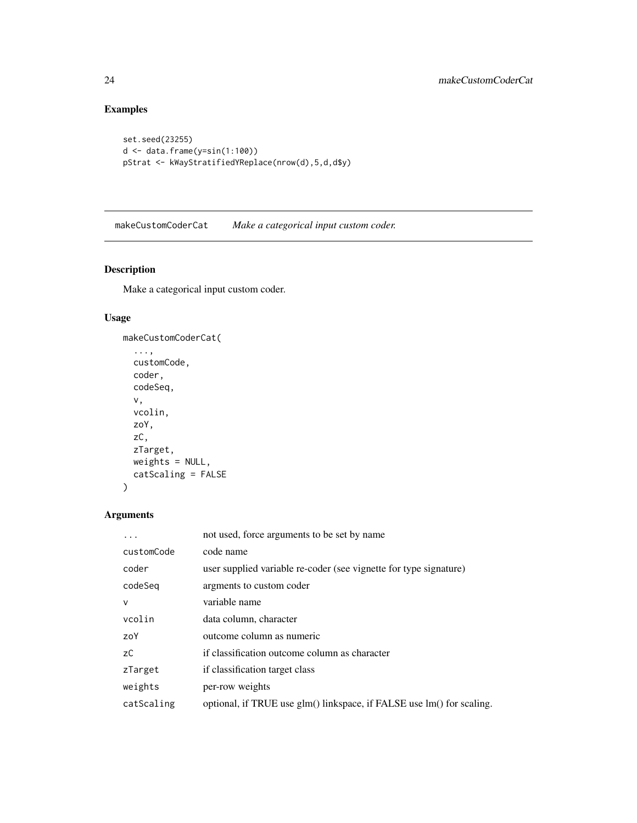# Examples

```
set.seed(23255)
d <- data.frame(y=sin(1:100))
pStrat <- kWayStratifiedYReplace(nrow(d),5,d,d$y)
```
makeCustomCoderCat *Make a categorical input custom coder.*

# Description

Make a categorical input custom coder.

#### Usage

```
makeCustomCoderCat(
  ...,
 customCode,
 coder,
 codeSeq,
  v,
 vcolin,
 zoY,
 zC,
 zTarget,
 weights = NULL,
 catScaling = FALSE
)
```

|              | not used, force arguments to be set by name                           |
|--------------|-----------------------------------------------------------------------|
| customCode   | code name                                                             |
| coder        | user supplied variable re-coder (see vignette for type signature)     |
| codeSeg      | argments to custom coder                                              |
| $\mathsf{v}$ | variable name                                                         |
| vcolin       | data column, character                                                |
| zoY          | outcome column as numeric                                             |
| zC           | if classification outcome column as character                         |
| zTarget      | if classification target class                                        |
| weights      | per-row weights                                                       |
| catScaling   | optional, if TRUE use glm() linkspace, if FALSE use lm() for scaling. |

<span id="page-23-0"></span>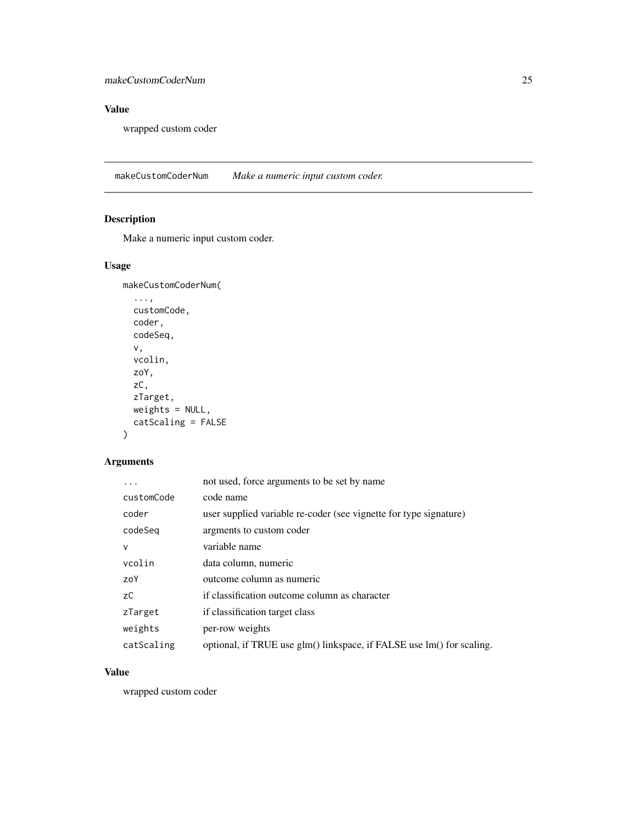# <span id="page-24-0"></span>makeCustomCoderNum 25

# Value

wrapped custom coder

makeCustomCoderNum *Make a numeric input custom coder.*

# Description

Make a numeric input custom coder.

# Usage

makeCustomCoderNum( ..., customCode, coder, codeSeq, v, vcolin, zoY, zC, zTarget, weights = NULL, catScaling = FALSE )

# Arguments

|              | not used, force arguments to be set by name                           |  |
|--------------|-----------------------------------------------------------------------|--|
| customCode   | code name                                                             |  |
| coder        | user supplied variable re-coder (see vignette for type signature)     |  |
| codeSeg      | argments to custom coder                                              |  |
| $\mathsf{V}$ | variable name                                                         |  |
| vcolin       | data column, numeric                                                  |  |
| zoY          | outcome column as numeric                                             |  |
| zC           | if classification outcome column as character                         |  |
| zTarget      | if classification target class                                        |  |
| weights      | per-row weights                                                       |  |
| catScaling   | optional, if TRUE use glm() linkspace, if FALSE use lm() for scaling. |  |

# Value

wrapped custom coder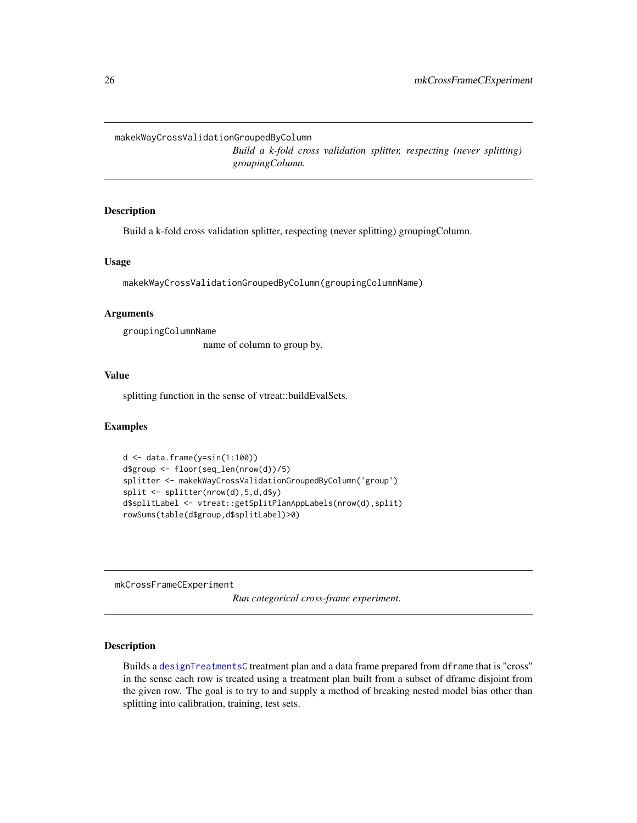<span id="page-25-2"></span><span id="page-25-0"></span>makekWayCrossValidationGroupedByColumn

*Build a k-fold cross validation splitter, respecting (never splitting) groupingColumn.*

# Description

Build a k-fold cross validation splitter, respecting (never splitting) groupingColumn.

#### Usage

makekWayCrossValidationGroupedByColumn(groupingColumnName)

#### **Arguments**

groupingColumnName

name of column to group by.

#### Value

splitting function in the sense of vtreat::buildEvalSets.

#### Examples

```
d \leftarrow data-frame(y=sin(1:100))d$group <- floor(seq_len(nrow(d))/5)
splitter <- makekWayCrossValidationGroupedByColumn('group')
split <- splitter(nrow(d),5,d,d$y)
d$splitLabel <- vtreat::getSplitPlanAppLabels(nrow(d),split)
rowSums(table(d$group,d$splitLabel)>0)
```
<span id="page-25-1"></span>mkCrossFrameCExperiment

*Run categorical cross-frame experiment.*

# Description

Builds a [designTreatmentsC](#page-8-1) treatment plan and a data frame prepared from dframe that is "cross" in the sense each row is treated using a treatment plan built from a subset of dframe disjoint from the given row. The goal is to try to and supply a method of breaking nested model bias other than splitting into calibration, training, test sets.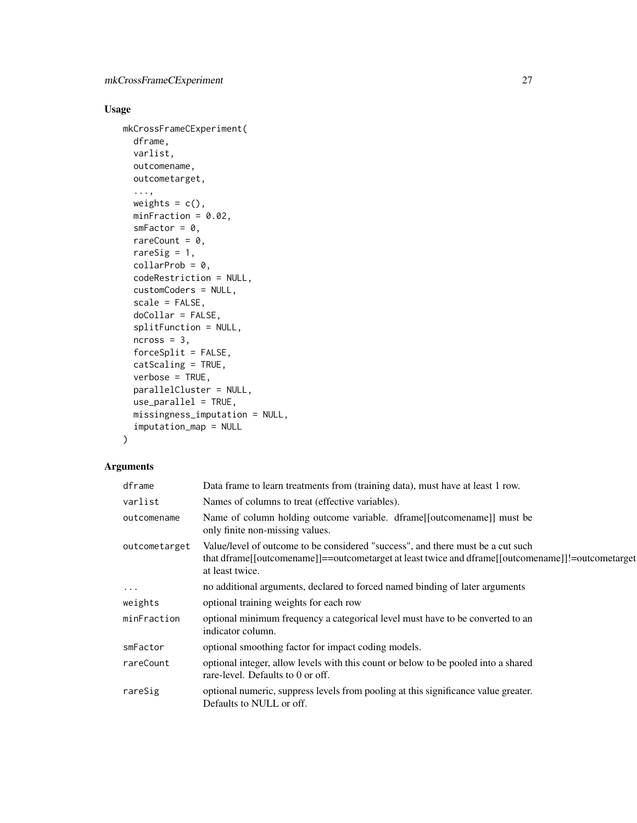# Usage

```
mkCrossFrameCExperiment(
 dframe,
 varlist,
 outcomename,
 outcometarget,
  ...,
 weights = c(),
 minFraction = 0.02,
 smFactor = 0,rareCount = 0,
 rareSig = 1,
 collarProb = 0,codeRestriction = NULL,
  customCoders = NULL,
  scale = FALSE,
 doCollar = FALSE,
  splitFunction = NULL,
 ncross = 3,
 forceSplit = FALSE,
 catScaling = TRUE,
 verbose = TRUE,
 parallelCluster = NULL,
 use_parallel = TRUE,
 missingness_imputation = NULL,
  imputation_map = NULL
)
```

| dframe        | Data frame to learn treatments from (training data), must have at least 1 row.                                                                                                                                 |
|---------------|----------------------------------------------------------------------------------------------------------------------------------------------------------------------------------------------------------------|
| varlist       | Names of columns to treat (effective variables).                                                                                                                                                               |
| outcomename   | Name of column holding outcome variable. dframe[[outcomename]] must be<br>only finite non-missing values.                                                                                                      |
| outcometarget | Value/level of outcome to be considered "success", and there must be a cut such<br>that dframe [[outcomename]] = = outcometarget at least twice and dframe [[outcomename]]! = outcometarget<br>at least twice. |
| $\cdots$      | no additional arguments, declared to forced named binding of later arguments                                                                                                                                   |
| weights       | optional training weights for each row                                                                                                                                                                         |
| minFraction   | optional minimum frequency a categorical level must have to be converted to an<br>indicator column.                                                                                                            |
| smFactor      | optional smoothing factor for impact coding models.                                                                                                                                                            |
| rareCount     | optional integer, allow levels with this count or below to be pooled into a shared<br>rare-level. Defaults to 0 or off.                                                                                        |
| rareSig       | optional numeric, suppress levels from pooling at this significance value greater.<br>Defaults to NULL or off.                                                                                                 |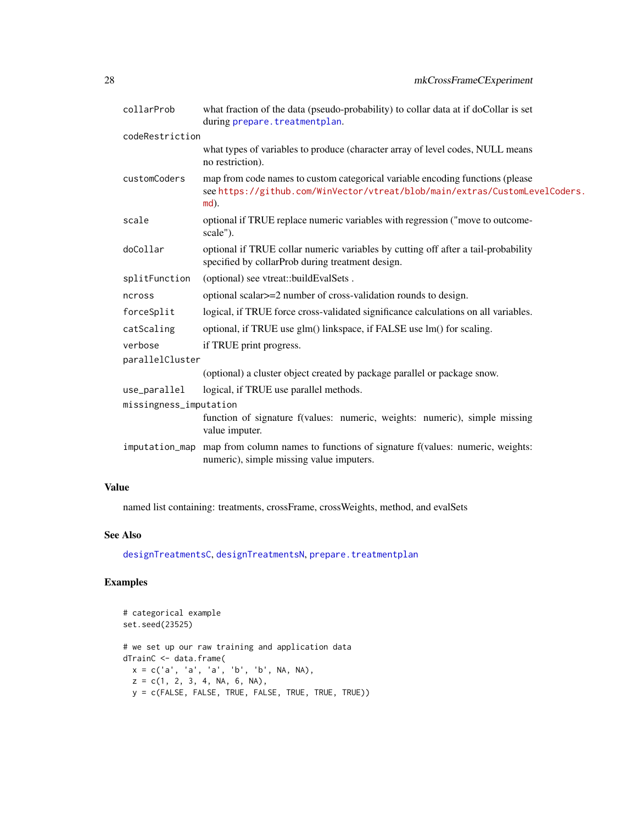<span id="page-27-0"></span>

| collarProb             | what fraction of the data (pseudo-probability) to collar data at if doCollar is set<br>during prepare.treatmentplan.                                                    |  |
|------------------------|-------------------------------------------------------------------------------------------------------------------------------------------------------------------------|--|
| codeRestriction        |                                                                                                                                                                         |  |
|                        | what types of variables to produce (character array of level codes, NULL means<br>no restriction).                                                                      |  |
| customCoders           | map from code names to custom categorical variable encoding functions (please<br>see https://github.com/WinVector/vtreat/blob/main/extras/CustomLevelCoders.<br>$md$ ). |  |
| scale                  | optional if TRUE replace numeric variables with regression ("move to outcome-<br>scale").                                                                               |  |
| doCollar               | optional if TRUE collar numeric variables by cutting off after a tail-probability<br>specified by collarProb during treatment design.                                   |  |
| splitFunction          | (optional) see vtreat::buildEvalSets.                                                                                                                                   |  |
| ncross                 | optional scalar>=2 number of cross-validation rounds to design.                                                                                                         |  |
| forceSplit             | logical, if TRUE force cross-validated significance calculations on all variables.                                                                                      |  |
| catScaling             | optional, if TRUE use glm() linkspace, if FALSE use lm() for scaling.                                                                                                   |  |
| verbose                | if TRUE print progress.                                                                                                                                                 |  |
| parallelCluster        |                                                                                                                                                                         |  |
|                        | (optional) a cluster object created by package parallel or package snow.                                                                                                |  |
| use_parallel           | logical, if TRUE use parallel methods.                                                                                                                                  |  |
| missingness_imputation |                                                                                                                                                                         |  |
|                        | function of signature f(values: numeric, weights: numeric), simple missing<br>value imputer.                                                                            |  |
|                        | imputation_map map from column names to functions of signature f(values: numeric, weights:<br>numeric), simple missing value imputers.                                  |  |

# Value

named list containing: treatments, crossFrame, crossWeights, method, and evalSets

# See Also

[designTreatmentsC](#page-8-1), [designTreatmentsN](#page-11-1), [prepare.treatmentplan](#page-43-1)

# Examples

```
# categorical example
set.seed(23525)
# we set up our raw training and application data
dTrainC <- data.frame(
 x = c('a', 'a', 'a', 'b', 'b', NA, NA),z = c(1, 2, 3, 4, NA, 6, NA),y = c(FALSE, FALSE, TRUE, FALSE, TRUE, TRUE, TRUE))
```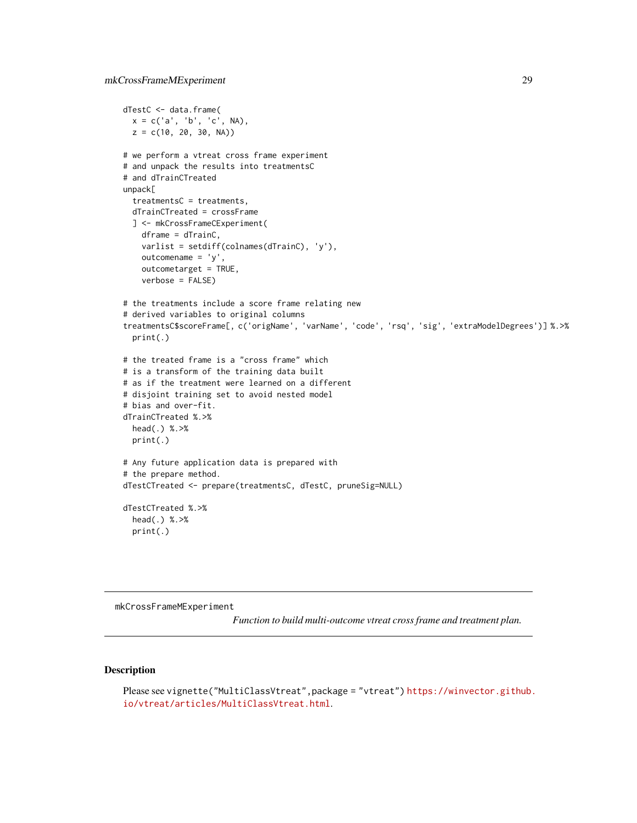```
dTestC <- data.frame(
 x = c('a', 'b', 'c', NA),z = c(10, 20, 30, NA)# we perform a vtreat cross frame experiment
# and unpack the results into treatmentsC
# and dTrainCTreated
unpack[
 treatmentsC = treatments,
 dTrainCTreated = crossFrame
 ] <- mkCrossFrameCExperiment(
   dframe = dTrainC,
   varlist = setdiff(colnames(dTrainC), 'y'),
   outcomename = 'y',
   outcometarget = TRUE,
   verbose = FALSE)
# the treatments include a score frame relating new
# derived variables to original columns
treatmentsC$scoreFrame[, c('origName', 'varName', 'code', 'rsq', 'sig', 'extraModelDegrees')] %.>%
 print(.)
# the treated frame is a "cross frame" which
# is a transform of the training data built
# as if the treatment were learned on a different
# disjoint training set to avoid nested model
# bias and over-fit.
dTrainCTreated %.>%
 head(.) %.>%
 print(.)
# Any future application data is prepared with
# the prepare method.
dTestCTreated <- prepare(treatmentsC, dTestC, pruneSig=NULL)
dTestCTreated %.>%
 head(.) %.>%
 print(.)
```
<span id="page-28-1"></span>mkCrossFrameMExperiment

*Function to build multi-outcome vtreat cross frame and treatment plan.*

#### Description

```
Please see vignette("MultiClassVtreat",package = "vtreat") https://winvector.github.
io/vtreat/articles/MultiClassVtreat.html.
```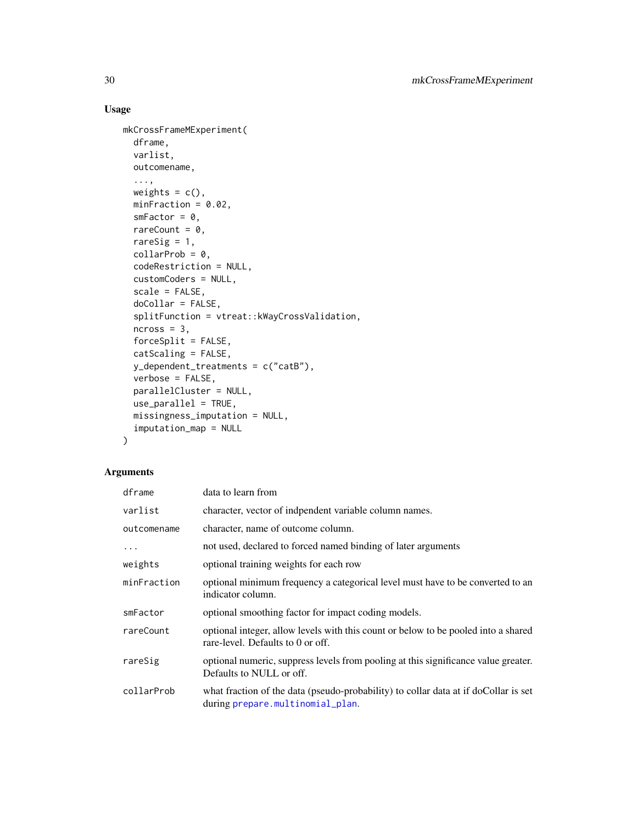# Usage

```
mkCrossFrameMExperiment(
 dframe,
 varlist,
 outcomename,
  ...,
 weights = c(),
 minFraction = 0.02,
 smFactor = 0,rareCount = 0,
 rareSig = 1,
 collarrProb = 0,
 codeRestriction = NULL,
 customCoders = NULL,
 scale = FALSE,
 doCollar = FALSE,
  splitFunction = vtreat::kWayCrossValidation,
 ncross = 3,
 forceSplit = FALSE,
 catScaling = FALSE,
 y_dependent_treatments = c("catB"),
 verbose = FALSE,
 parallelCluster = NULL,
 use_parallel = TRUE,
 missingness_imputation = NULL,
  imputation_map = NULL
)
```

| dframe      | data to learn from                                                                                                      |  |
|-------------|-------------------------------------------------------------------------------------------------------------------------|--|
| varlist     | character, vector of indpendent variable column names.                                                                  |  |
| outcomename | character, name of outcome column.                                                                                      |  |
| .           | not used, declared to forced named binding of later arguments                                                           |  |
| weights     | optional training weights for each row                                                                                  |  |
| minFraction | optional minimum frequency a categorical level must have to be converted to an<br>indicator column.                     |  |
| smFactor    | optional smoothing factor for impact coding models.                                                                     |  |
| rareCount   | optional integer, allow levels with this count or below to be pooled into a shared<br>rare-level. Defaults to 0 or off. |  |
| rareSig     | optional numeric, suppress levels from pooling at this significance value greater.<br>Defaults to NULL or off.          |  |
| collarProb  | what fraction of the data (pseudo-probability) to collar data at if doCollar is set<br>during prepare.multinomial_plan. |  |

<span id="page-29-0"></span>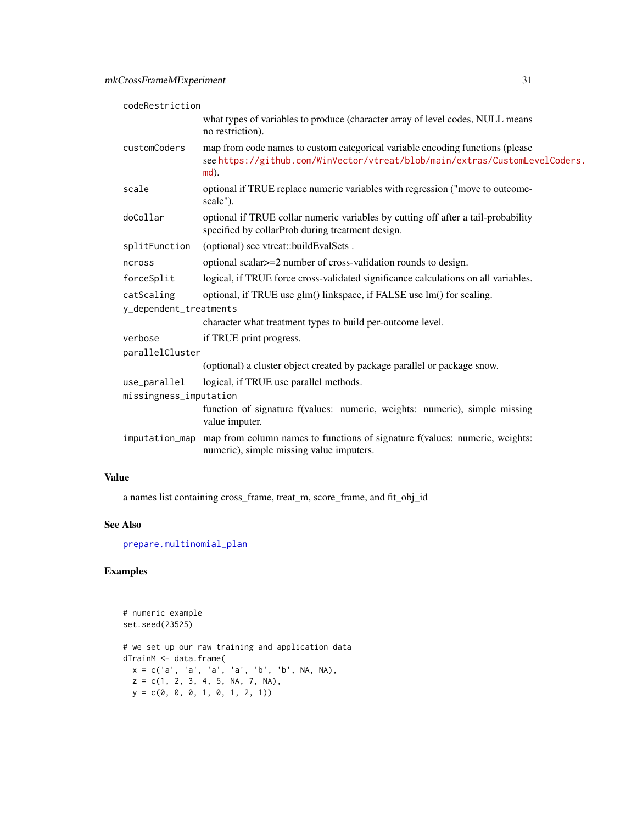<span id="page-30-0"></span>

| codeRestriction                                                                                                                                                         |  |  |
|-------------------------------------------------------------------------------------------------------------------------------------------------------------------------|--|--|
| what types of variables to produce (character array of level codes, NULL means<br>no restriction).                                                                      |  |  |
| map from code names to custom categorical variable encoding functions (please<br>see https://github.com/WinVector/vtreat/blob/main/extras/CustomLevelCoders.<br>$md$ ). |  |  |
| optional if TRUE replace numeric variables with regression ("move to outcome-<br>scale").                                                                               |  |  |
| optional if TRUE collar numeric variables by cutting off after a tail-probability<br>specified by collarProb during treatment design.                                   |  |  |
| (optional) see vtreat::buildEvalSets.                                                                                                                                   |  |  |
| optional scalar>=2 number of cross-validation rounds to design.                                                                                                         |  |  |
| logical, if TRUE force cross-validated significance calculations on all variables.                                                                                      |  |  |
| optional, if TRUE use glm() linkspace, if FALSE use lm() for scaling.                                                                                                   |  |  |
| y_dependent_treatments                                                                                                                                                  |  |  |
| character what treatment types to build per-outcome level.                                                                                                              |  |  |
| if TRUE print progress.                                                                                                                                                 |  |  |
| parallelCluster                                                                                                                                                         |  |  |
| (optional) a cluster object created by package parallel or package snow.                                                                                                |  |  |
| logical, if TRUE use parallel methods.                                                                                                                                  |  |  |
| missingness_imputation                                                                                                                                                  |  |  |
| function of signature f(values: numeric, weights: numeric), simple missing<br>value imputer.                                                                            |  |  |
| imputation_map map from column names to functions of signature f(values: numeric, weights:<br>numeric), simple missing value imputers.                                  |  |  |
|                                                                                                                                                                         |  |  |

#### Value

a names list containing cross\_frame, treat\_m, score\_frame, and fit\_obj\_id

# See Also

[prepare.multinomial\\_plan](#page-41-1)

# Examples

```
# numeric example
set.seed(23525)
# we set up our raw training and application data
dTrainM <- data.frame(
  x = c('a', 'a', 'a', 'a', 'b', 'b', NA, NA),
  z = c(1, 2, 3, 4, 5, NA, 7, NA),y = c(0, 0, 0, 1, 0, 1, 2, 1)
```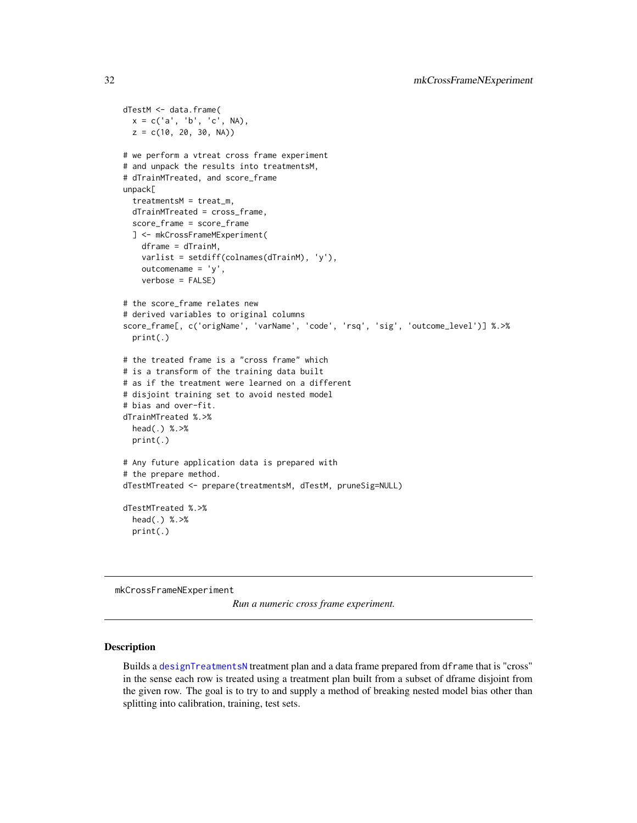```
dTestM <- data.frame(
 x = c('a', 'b', 'c', NA),z = c(10, 20, 30, NA)# we perform a vtreat cross frame experiment
# and unpack the results into treatmentsM,
# dTrainMTreated, and score_frame
unpack[
 treatmentsM = treat_m,
 dTrainMTreated = cross_frame,
 score_frame = score_frame
 ] <- mkCrossFrameMExperiment(
   dframe = dTrainM,
   varlist = setdiff(colnames(dTrainM), 'y'),
   outcomename = 'y',
   verbose = FALSE)
# the score_frame relates new
# derived variables to original columns
score_frame[, c('origName', 'varName', 'code', 'rsq', 'sig', 'outcome_level')] %.>%
 print(.)
# the treated frame is a "cross frame" which
# is a transform of the training data built
# as if the treatment were learned on a different
# disjoint training set to avoid nested model
# bias and over-fit.
dTrainMTreated %.>%
 head(.) %.>%
 print(.)
# Any future application data is prepared with
# the prepare method.
dTestMTreated <- prepare(treatmentsM, dTestM, pruneSig=NULL)
dTestMTreated %.>%
 head(.) %.>%
 print(.)
```
<span id="page-31-1"></span>mkCrossFrameNExperiment

*Run a numeric cross frame experiment.*

#### Description

Builds a [designTreatmentsN](#page-11-1) treatment plan and a data frame prepared from dframe that is "cross" in the sense each row is treated using a treatment plan built from a subset of dframe disjoint from the given row. The goal is to try to and supply a method of breaking nested model bias other than splitting into calibration, training, test sets.

<span id="page-31-0"></span>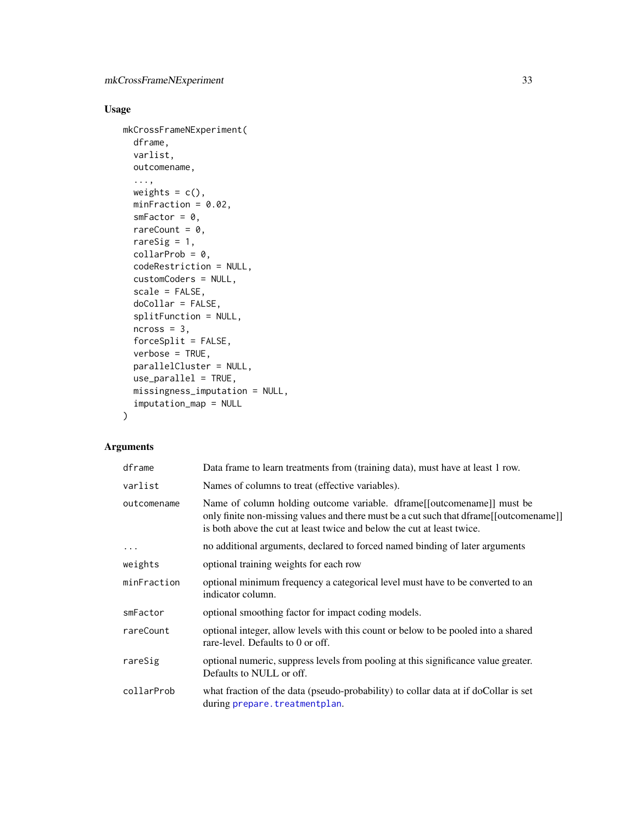# <span id="page-32-0"></span>Usage

```
mkCrossFrameNExperiment(
  dframe,
 varlist,
 outcomename,
  ...,
 weights = c(),
 minFraction = 0.02,
  smFactor = 0,rareCount = 0,
  rareSig = 1,
 collarrProb = 0,
  codeRestriction = NULL,
  customCoders = NULL,
  scale = FALSE,
  doCollar = FALSE,
  splitFunction = NULL,
  ncross = 3,
  forceSplit = FALSE,
  verbose = TRUE,
 parallelCluster = NULL,
  use_parallel = TRUE,
 missingness_imputation = NULL,
  imputation_map = NULL
\mathcal{L}
```

| dframe      | Data frame to learn treatments from (training data), must have at least 1 row.                                                                                                                                                               |  |
|-------------|----------------------------------------------------------------------------------------------------------------------------------------------------------------------------------------------------------------------------------------------|--|
| varlist     | Names of columns to treat (effective variables).                                                                                                                                                                                             |  |
| outcomename | Name of column holding outcome variable. dframe [[outcomename]] must be<br>only finite non-missing values and there must be a cut such that dframe [[outcomename]]<br>is both above the cut at least twice and below the cut at least twice. |  |
| $\cdots$    | no additional arguments, declared to forced named binding of later arguments                                                                                                                                                                 |  |
| weights     | optional training weights for each row                                                                                                                                                                                                       |  |
| minFraction | optional minimum frequency a categorical level must have to be converted to an<br>indicator column.                                                                                                                                          |  |
| smFactor    | optional smoothing factor for impact coding models.                                                                                                                                                                                          |  |
| rareCount   | optional integer, allow levels with this count or below to be pooled into a shared<br>rare-level. Defaults to 0 or off.                                                                                                                      |  |
| rareSig     | optional numeric, suppress levels from pooling at this significance value greater.<br>Defaults to NULL or off.                                                                                                                               |  |
| collarProb  | what fraction of the data (pseudo-probability) to collar data at if doCollar is set<br>during prepare.treatmentplan.                                                                                                                         |  |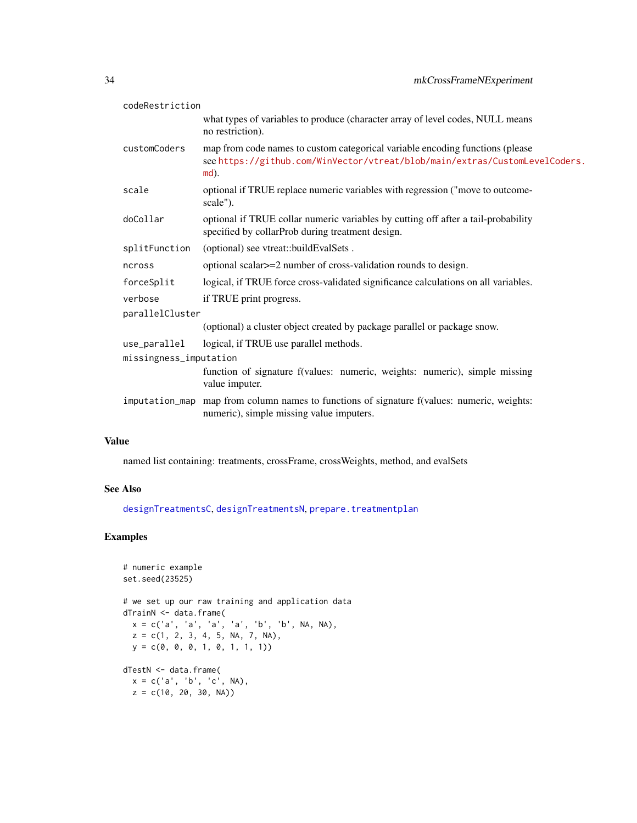<span id="page-33-0"></span>

| codeRestriction        |                                                                                                                                                                         |  |
|------------------------|-------------------------------------------------------------------------------------------------------------------------------------------------------------------------|--|
|                        | what types of variables to produce (character array of level codes, NULL means<br>no restriction).                                                                      |  |
| customCoders           | map from code names to custom categorical variable encoding functions (please<br>see https://github.com/WinVector/vtreat/blob/main/extras/CustomLevelCoders.<br>$md$ ). |  |
| scale                  | optional if TRUE replace numeric variables with regression ("move to outcome-<br>scale").                                                                               |  |
| doCollar               | optional if TRUE collar numeric variables by cutting off after a tail-probability<br>specified by collarProb during treatment design.                                   |  |
| splitFunction          | (optional) see vtreat::buildEvalSets.                                                                                                                                   |  |
| ncross                 | optional scalar>=2 number of cross-validation rounds to design.                                                                                                         |  |
| forceSplit             | logical, if TRUE force cross-validated significance calculations on all variables.                                                                                      |  |
| verbose                | if TRUE print progress.                                                                                                                                                 |  |
| parallelCluster        |                                                                                                                                                                         |  |
|                        | (optional) a cluster object created by package parallel or package snow.                                                                                                |  |
| use_parallel           | logical, if TRUE use parallel methods.                                                                                                                                  |  |
| missingness_imputation |                                                                                                                                                                         |  |
|                        | function of signature f(values: numeric, weights: numeric), simple missing<br>value imputer.                                                                            |  |
|                        | imputation_map map from column names to functions of signature f(values: numeric, weights:<br>numeric), simple missing value imputers.                                  |  |

#### Value

named list containing: treatments, crossFrame, crossWeights, method, and evalSets

#### See Also

[designTreatmentsC](#page-8-1), [designTreatmentsN](#page-11-1), [prepare.treatmentplan](#page-43-1)

# Examples

```
# numeric example
set.seed(23525)
# we set up our raw training and application data
dTrainN <- data.frame(
  x = c('a', 'a', 'a', 'a', 'b', 'b', NA, NA),
  z = c(1, 2, 3, 4, 5, NA, 7, NA),y = c(0, 0, 0, 1, 0, 1, 1, 1))dTestN <- data.frame(
  x = c('a', 'b', 'c', NA),z = c(10, 20, 30, NA))
```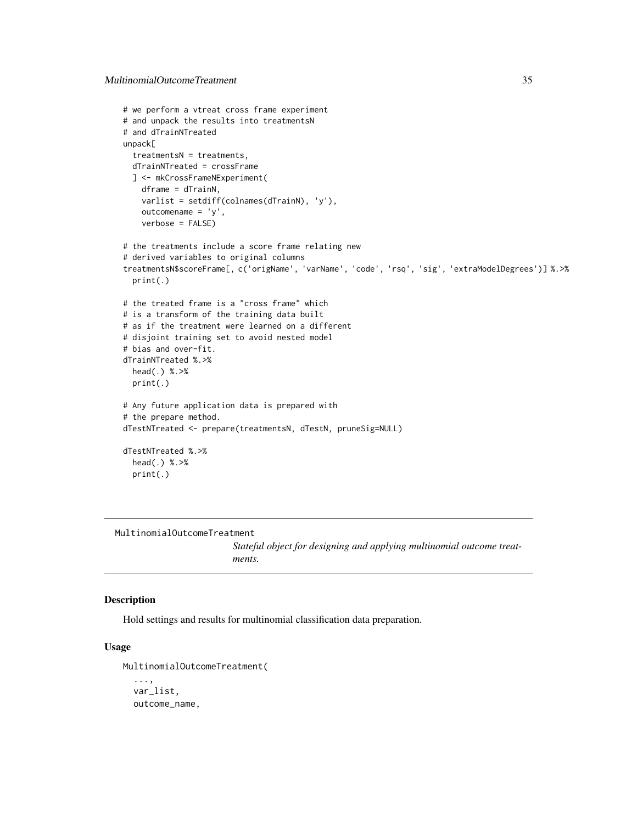```
# we perform a vtreat cross frame experiment
# and unpack the results into treatmentsN
# and dTrainNTreated
unpack[
  treatmentsN = treatments,
  dTrainNTreated = crossFrame
  ] <- mkCrossFrameNExperiment(
    dframe = dTrainN,
    varlist = setdiff(colnames(dTrainN), 'y'),
    outcome = 'y',verbose = FALSE)
# the treatments include a score frame relating new
# derived variables to original columns
treatmentsN$scoreFrame[, c('origName', 'varName', 'code', 'rsq', 'sig', 'extraModelDegrees')] %.>%
  print(.)
# the treated frame is a "cross frame" which
# is a transform of the training data built
# as if the treatment were learned on a different
# disjoint training set to avoid nested model
# bias and over-fit.
dTrainNTreated %.>%
  head(.) %.>%
  print(.)
# Any future application data is prepared with
# the prepare method.
dTestNTreated <- prepare(treatmentsN, dTestN, pruneSig=NULL)
dTestNTreated %.>%
  head(.) %.>%
  print(.)
```
MultinomialOutcomeTreatment

*Stateful object for designing and applying multinomial outcome treatments.*

#### Description

Hold settings and results for multinomial classification data preparation.

#### Usage

```
MultinomialOutcomeTreatment(
  ...,
  var_list,
  outcome_name,
```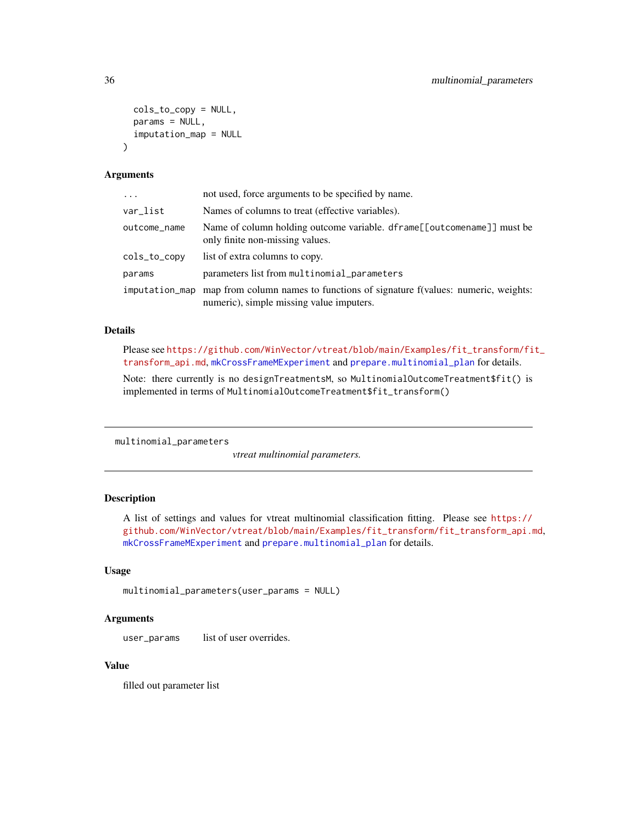```
cols_to_copy = NULL,
  params = NULL,
  imputation_map = NULL
\lambda
```
#### Arguments

| $\cdots$     | not used, force arguments to be specified by name.                                                                                     |  |
|--------------|----------------------------------------------------------------------------------------------------------------------------------------|--|
| var_list     | Names of columns to treat (effective variables).                                                                                       |  |
| outcome_name | Name of column holding outcome variable. dframe[[outcomename]] must be<br>only finite non-missing values.                              |  |
| cols_to_copy | list of extra columns to copy.                                                                                                         |  |
| params       | parameters list from multinomial_parameters                                                                                            |  |
|              | imputation_map map from column names to functions of signature f(values: numeric, weights:<br>numeric), simple missing value imputers. |  |

#### Details

Please see [https://github.com/WinVector/vtreat/blob/main/Examples/fit\\_transform/fi](https://github.com/WinVector/vtreat/blob/main/Examples/fit_transform/fit_transform_api.md)t\_ [transform\\_api.md](https://github.com/WinVector/vtreat/blob/main/Examples/fit_transform/fit_transform_api.md), [mkCrossFrameMExperiment](#page-28-1) and [prepare.multinomial\\_plan](#page-41-1) for details.

Note: there currently is no designTreatmentsM, so MultinomialOutcomeTreatment\$fit() is implemented in terms of MultinomialOutcomeTreatment\$fit\_transform()

multinomial\_parameters

*vtreat multinomial parameters.*

# Description

A list of settings and values for vtreat multinomial classification fitting. Please see [https://](https://github.com/WinVector/vtreat/blob/main/Examples/fit_transform/fit_transform_api.md) [github.com/WinVector/vtreat/blob/main/Examples/fit\\_transform/fit\\_transform\\_api.md](https://github.com/WinVector/vtreat/blob/main/Examples/fit_transform/fit_transform_api.md), [mkCrossFrameMExperiment](#page-28-1) and [prepare.multinomial\\_plan](#page-41-1) for details.

## Usage

```
multinomial_parameters(user_params = NULL)
```
#### Arguments

user\_params list of user overrides.

#### Value

filled out parameter list

<span id="page-35-0"></span>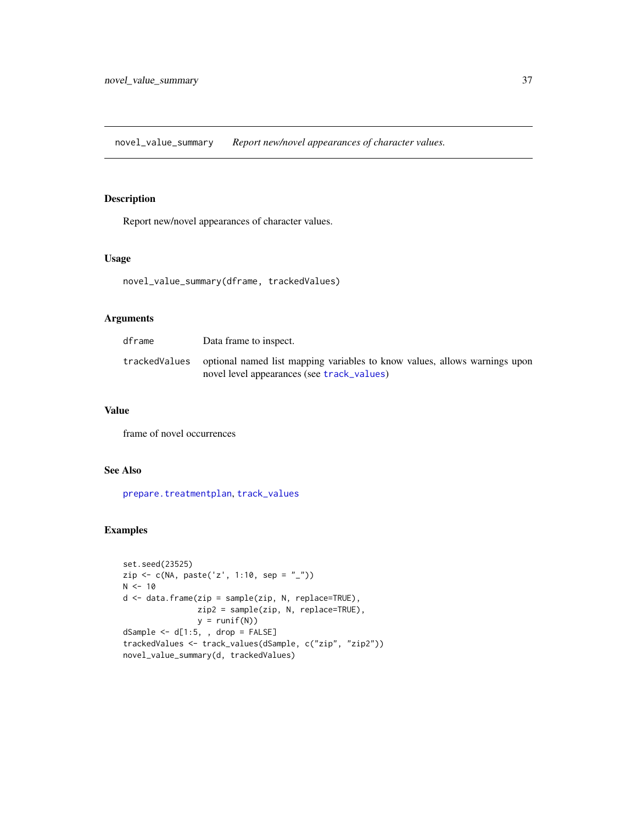<span id="page-36-1"></span><span id="page-36-0"></span>novel\_value\_summary *Report new/novel appearances of character values.*

# Description

Report new/novel appearances of character values.

#### Usage

novel\_value\_summary(dframe, trackedValues)

# Arguments

| dframe | Data frame to inspect.                                                                                                                  |
|--------|-----------------------------------------------------------------------------------------------------------------------------------------|
|        | tracked Values optional named list mapping variables to know values, allows warnings upon<br>novel level appearances (see track_values) |

#### Value

frame of novel occurrences

# See Also

[prepare.treatmentplan](#page-43-1), [track\\_values](#page-56-1)

# Examples

```
set.seed(23525)
zip <- c(NA, paste('z', 1:10, sep = "_"))
N < -10d <- data.frame(zip = sample(zip, N, replace=TRUE),
               zip2 = sample(zip, N, replace=TRUE),
               y = runif(N))
dSample <- d[1:5, , drop = FALSE]
trackedValues <- track_values(dSample, c("zip", "zip2"))
novel_value_summary(d, trackedValues)
```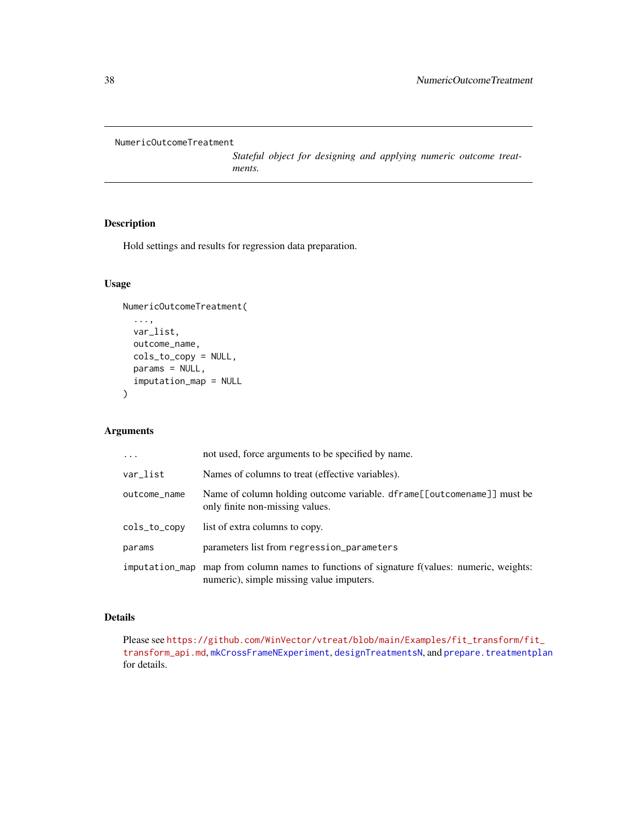```
NumericOutcomeTreatment
```
*Stateful object for designing and applying numeric outcome treatments.*

# Description

Hold settings and results for regression data preparation.

# Usage

```
NumericOutcomeTreatment(
  ...,
  var_list,
  outcome_name,
  cols_to_copy = NULL,
  params = NULL,
  imputation_map = NULL
\mathcal{L}
```
# Arguments

| $\cdots$     | not used, force arguments to be specified by name.                                                                                     |  |
|--------------|----------------------------------------------------------------------------------------------------------------------------------------|--|
| var_list     | Names of columns to treat (effective variables).                                                                                       |  |
| outcome_name | Name of column holding outcome variable. dframe[[outcomename]] must be<br>only finite non-missing values.                              |  |
| cols_to_copy | list of extra columns to copy.                                                                                                         |  |
| params       | parameters list from regression_parameters                                                                                             |  |
|              | imputation_map map from column names to functions of signature f(values: numeric, weights:<br>numeric), simple missing value imputers. |  |

# Details

Please see [https://github.com/WinVector/vtreat/blob/main/Examples/fit\\_transform/fi](https://github.com/WinVector/vtreat/blob/main/Examples/fit_transform/fit_transform_api.md)t\_ [transform\\_api.md](https://github.com/WinVector/vtreat/blob/main/Examples/fit_transform/fit_transform_api.md), [mkCrossFrameNExperiment](#page-31-1), [designTreatmentsN](#page-11-1), and [prepare.treatmentplan](#page-43-1) for details.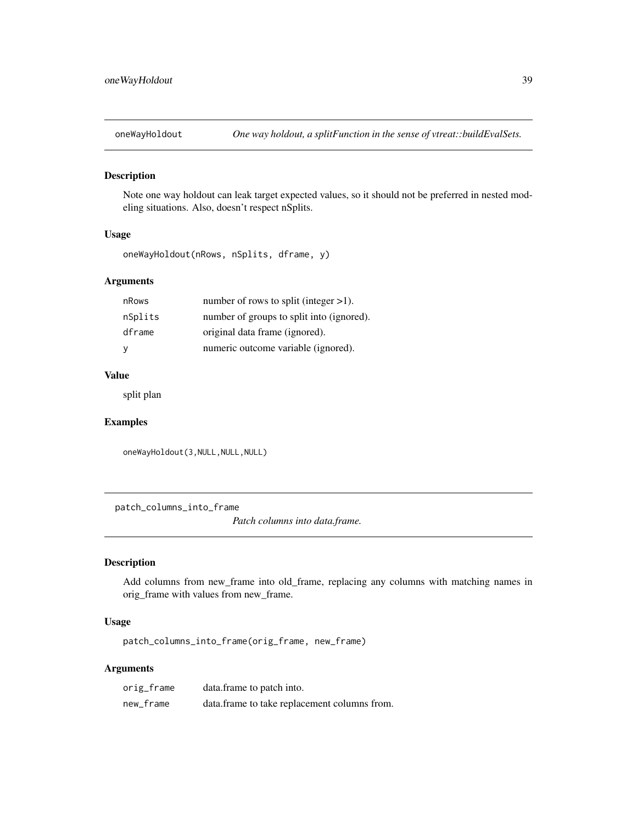<span id="page-38-0"></span>

#### Description

Note one way holdout can leak target expected values, so it should not be preferred in nested modeling situations. Also, doesn't respect nSplits.

# Usage

```
oneWayHoldout(nRows, nSplits, dframe, y)
```
# Arguments

| nRows   | number of rows to split (integer $>1$ ).  |
|---------|-------------------------------------------|
| nSplits | number of groups to split into (ignored). |
| dframe  | original data frame (ignored).            |
|         | numeric outcome variable (ignored).       |

#### Value

split plan

# Examples

oneWayHoldout(3, NULL, NULL, NULL)

patch\_columns\_into\_frame

*Patch columns into data.frame.*

#### Description

Add columns from new\_frame into old\_frame, replacing any columns with matching names in orig\_frame with values from new\_frame.

#### Usage

patch\_columns\_into\_frame(orig\_frame, new\_frame)

| orig_frame | data.frame to patch into.                    |
|------------|----------------------------------------------|
| new frame  | data.frame to take replacement columns from. |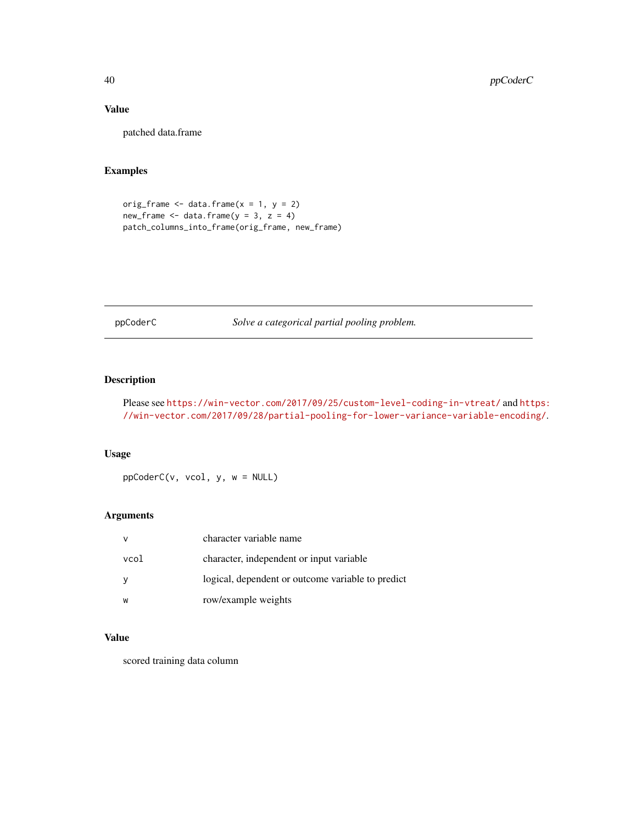# <span id="page-39-0"></span>Value

patched data.frame

# Examples

```
orig_frame \le data.frame(x = 1, y = 2)
new_frame <- data.frame(y = 3, z = 4)
patch_columns_into_frame(orig_frame, new_frame)
```
ppCoderC *Solve a categorical partial pooling problem.*

# Description

```
Please see https://win-vector.com/2017/09/25/custom-level-coding-in-vtreat/ and https:
//win-vector.com/2017/09/28/partial-pooling-for-lower-variance-variable-encoding/.
```
#### Usage

ppCoderC(v, vcol, y, w = NULL)

#### Arguments

|      | character variable name                           |
|------|---------------------------------------------------|
| vcol | character, independent or input variable          |
|      | logical, dependent or outcome variable to predict |
| W    | row/example weights                               |

# Value

scored training data column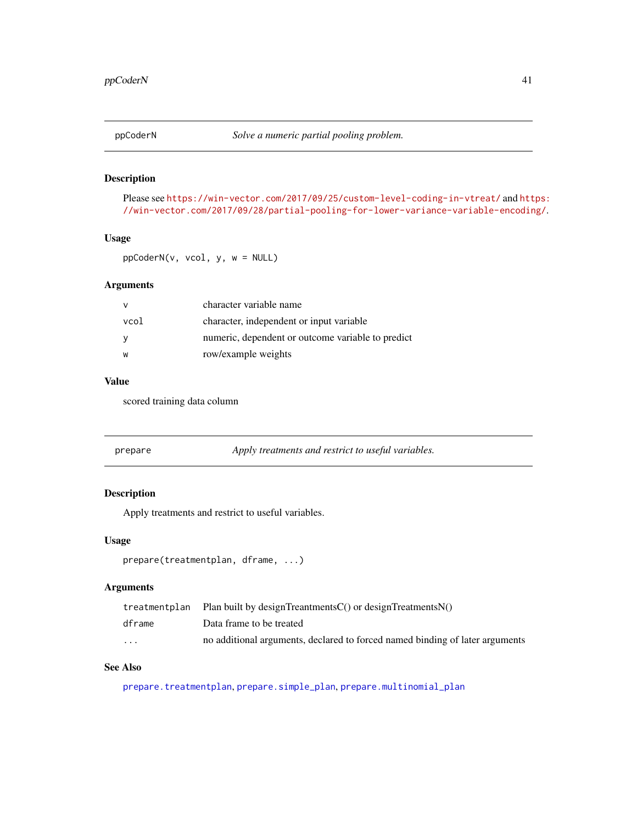<span id="page-40-0"></span>

# Description

```
Please see https://win-vector.com/2017/09/25/custom-level-coding-in-vtreat/ and https:
//win-vector.com/2017/09/28/partial-pooling-for-lower-variance-variable-encoding/.
```
#### Usage

ppCoderN(v, vcol, y, w = NULL)

#### Arguments

|      | character variable name                           |
|------|---------------------------------------------------|
| vcol | character, independent or input variable          |
|      | numeric, dependent or outcome variable to predict |
| W    | row/example weights                               |
|      |                                                   |

#### Value

scored training data column

<span id="page-40-1"></span>

| prepare | Apply treatments and restrict to useful variables. |
|---------|----------------------------------------------------|
|---------|----------------------------------------------------|

## Description

Apply treatments and restrict to useful variables.

#### Usage

```
prepare(treatmentplan, dframe, ...)
```
#### Arguments

| treatmentplan           | Plan built by designTreantmentsC() or designTreatments $N()$                 |
|-------------------------|------------------------------------------------------------------------------|
| dframe                  | Data frame to be treated                                                     |
| $\cdot$ $\cdot$ $\cdot$ | no additional arguments, declared to forced named binding of later arguments |

#### See Also

[prepare.treatmentplan](#page-43-1), [prepare.simple\\_plan](#page-42-1), [prepare.multinomial\\_plan](#page-41-1)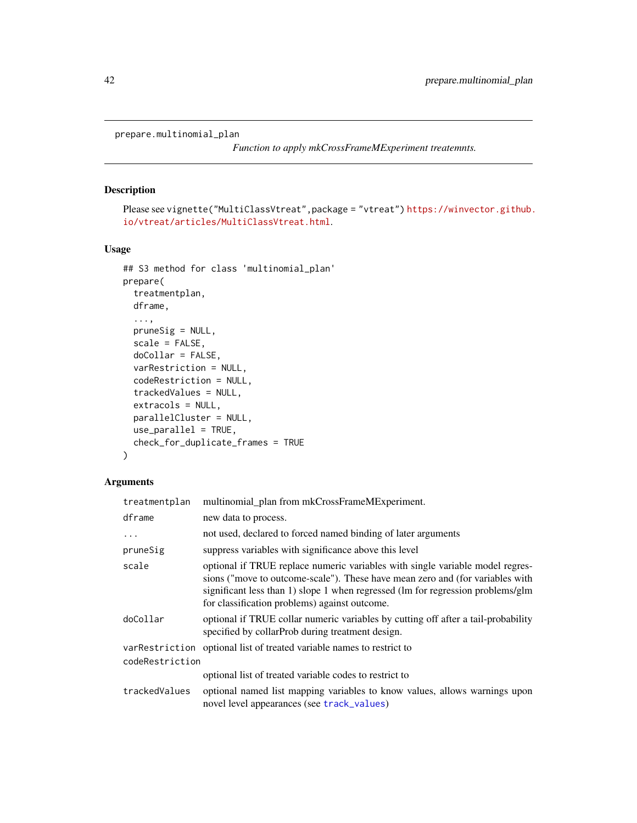```
prepare.multinomial_plan
```
*Function to apply mkCrossFrameMExperiment treatemnts.*

# Description

```
Please see vignette("MultiClassVtreat",package = "vtreat") https://winvector.github.
io/vtreat/articles/MultiClassVtreat.html.
```
#### Usage

```
## S3 method for class 'multinomial_plan'
prepare(
  treatmentplan,
  dframe,
  ...,
 pruneSig = NULL,
  scale = FALSE,
  doCollar = FALSE,
  varRestriction = NULL,
  codeRestriction = NULL,
  trackedValues = NULL,
  extracols = NULL,
 parallelCluster = NULL,
 use_parallel = TRUE,
  check_for_duplicate_frames = TRUE
)
```

| treatmentplan   | multinomial_plan from mkCrossFrameMExperiment.                                                                                                                                                                                                                                                     |
|-----------------|----------------------------------------------------------------------------------------------------------------------------------------------------------------------------------------------------------------------------------------------------------------------------------------------------|
| dframe          | new data to process.                                                                                                                                                                                                                                                                               |
| $\ddotsc$       | not used, declared to forced named binding of later arguments                                                                                                                                                                                                                                      |
| pruneSig        | suppress variables with significance above this level                                                                                                                                                                                                                                              |
| scale           | optional if TRUE replace numeric variables with single variable model regres-<br>sions ("move to outcome-scale"). These have mean zero and (for variables with<br>significant less than 1) slope 1 when regressed (lm for regression problems/glm<br>for classification problems) against outcome. |
| doCollar        | optional if TRUE collar numeric variables by cutting off after a tail-probability<br>specified by collarProb during treatment design.                                                                                                                                                              |
| codeRestriction | varRestriction optional list of treated variable names to restrict to                                                                                                                                                                                                                              |
|                 | optional list of treated variable codes to restrict to                                                                                                                                                                                                                                             |
| trackedValues   | optional named list mapping variables to know values, allows warnings upon<br>novel level appearances (see track_values)                                                                                                                                                                           |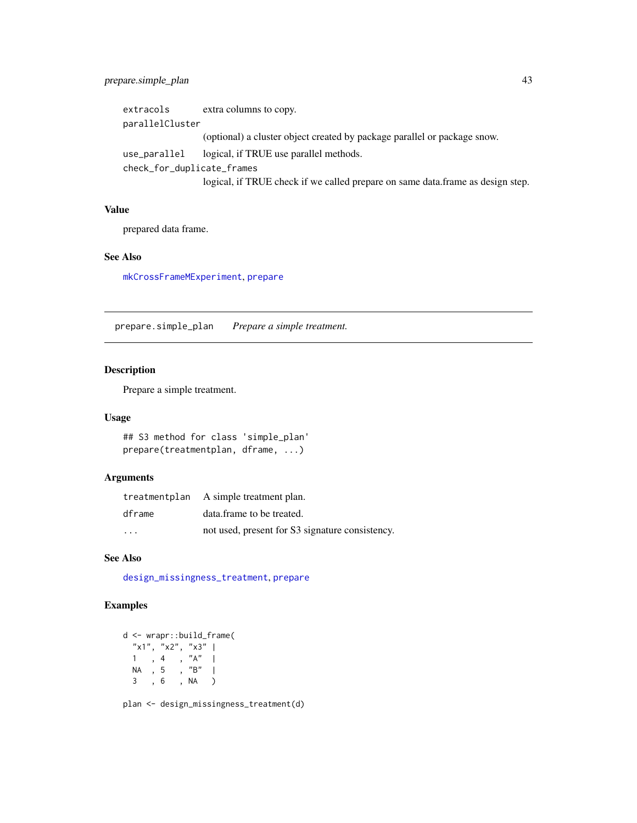# <span id="page-42-0"></span>prepare.simple\_plan 43

| extracols                  | extra columns to copy.                                                         |
|----------------------------|--------------------------------------------------------------------------------|
| parallelCluster            |                                                                                |
|                            | (optional) a cluster object created by package parallel or package snow.       |
| use_parallel               | logical, if TRUE use parallel methods.                                         |
| check_for_duplicate_frames |                                                                                |
|                            | logical, if TRUE check if we called prepare on same data.frame as design step. |

## Value

prepared data frame.

# See Also

[mkCrossFrameMExperiment](#page-28-1), [prepare](#page-40-1)

<span id="page-42-1"></span>prepare.simple\_plan *Prepare a simple treatment.*

## Description

Prepare a simple treatment.

#### Usage

```
## S3 method for class 'simple_plan'
prepare(treatmentplan, dframe, ...)
```
#### Arguments

|                         | treatment plan A simple treatment plan.         |
|-------------------------|-------------------------------------------------|
| dframe                  | data.frame to be treated.                       |
| $\cdot$ $\cdot$ $\cdot$ | not used, present for S3 signature consistency. |

#### See Also

[design\\_missingness\\_treatment](#page-15-1), [prepare](#page-40-1)

# Examples

d <- wrapr::build\_frame( "x1", "x2", "x3" |  $1, 4, '''A''$ NA , 5 , "B" | 3 , 6 , NA )

plan <- design\_missingness\_treatment(d)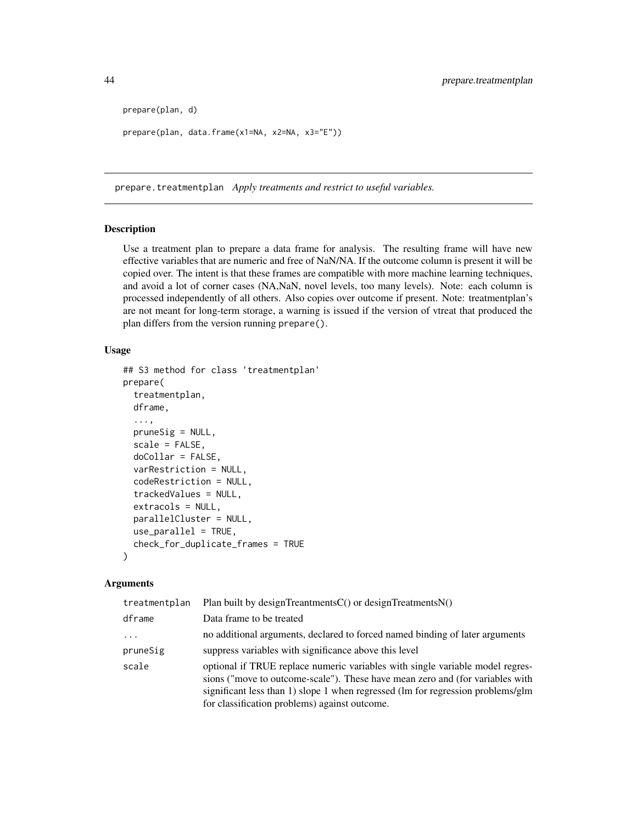```
prepare(plan, d)
prepare(plan, data.frame(x1=NA, x2=NA, x3="E"))
```
<span id="page-43-1"></span>prepare.treatmentplan *Apply treatments and restrict to useful variables.*

## Description

Use a treatment plan to prepare a data frame for analysis. The resulting frame will have new effective variables that are numeric and free of NaN/NA. If the outcome column is present it will be copied over. The intent is that these frames are compatible with more machine learning techniques, and avoid a lot of corner cases (NA,NaN, novel levels, too many levels). Note: each column is processed independently of all others. Also copies over outcome if present. Note: treatmentplan's are not meant for long-term storage, a warning is issued if the version of vtreat that produced the plan differs from the version running prepare().

#### Usage

```
## S3 method for class 'treatmentplan'
prepare(
  treatmentplan,
  dframe,
  ...,
  pruneSig = NULL,
  scale = FALSE,
  doCollar = FALSE,
  varRestriction = NULL,
  codeRestriction = NULL,
  trackedValues = NULL,
  extracols = NULL,
 parallelCluster = NULL,
 use_parallel = TRUE,
  check_for_duplicate_frames = TRUE
)
```

| treatmentplan | Plan built by designTreantmentsC() or designTreatments $N()$                                                                                                                                                                                                                                       |
|---------------|----------------------------------------------------------------------------------------------------------------------------------------------------------------------------------------------------------------------------------------------------------------------------------------------------|
| dframe        | Data frame to be treated                                                                                                                                                                                                                                                                           |
| $\cdots$      | no additional arguments, declared to forced named binding of later arguments                                                                                                                                                                                                                       |
| pruneSig      | suppress variables with significance above this level                                                                                                                                                                                                                                              |
| scale         | optional if TRUE replace numeric variables with single variable model regres-<br>sions ("move to outcome-scale"). These have mean zero and (for variables with<br>significant less than 1) slope 1 when regressed (lm for regression problems/glm<br>for classification problems) against outcome. |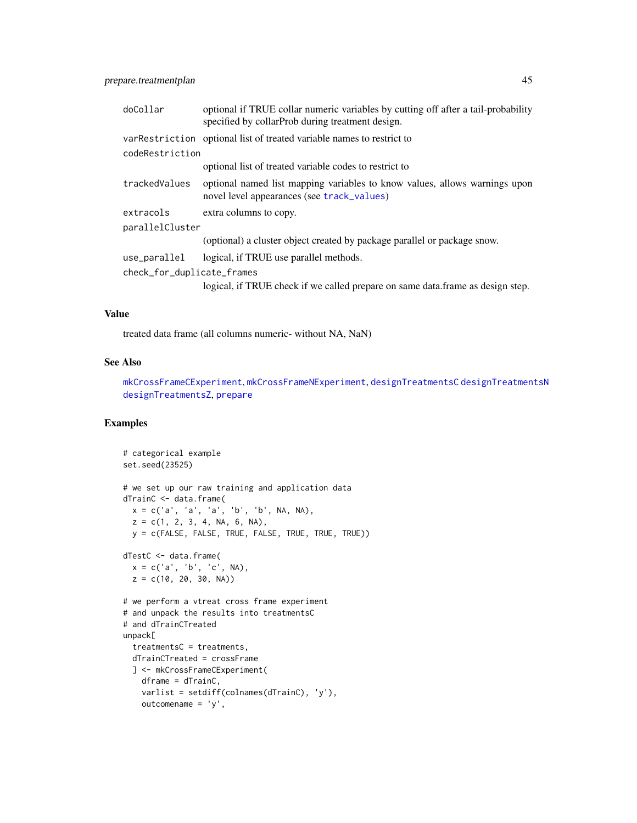<span id="page-44-0"></span>

| doCollar                   | optional if TRUE collar numeric variables by cutting off after a tail-probability<br>specified by collarProb during treatment design. |
|----------------------------|---------------------------------------------------------------------------------------------------------------------------------------|
|                            | varrestriction optional list of treated variable names to restrict to                                                                 |
| codeRestriction            |                                                                                                                                       |
|                            | optional list of treated variable codes to restrict to                                                                                |
| trackedValues              | optional named list mapping variables to know values, allows warnings upon<br>novel level appearances (see track_values)              |
| extracols                  | extra columns to copy.                                                                                                                |
| parallelCluster            |                                                                                                                                       |
|                            | (optional) a cluster object created by package parallel or package snow.                                                              |
| use_parallel               | logical, if TRUE use parallel methods.                                                                                                |
| check_for_duplicate_frames |                                                                                                                                       |
|                            | logical, if TRUE check if we called prepare on same data. frame as design step.                                                       |

# Value

treated data frame (all columns numeric- without NA, NaN)

#### See Also

[mkCrossFrameCExperiment](#page-25-1), [mkCrossFrameNExperiment](#page-31-1), [designTreatmentsC](#page-8-1) [designTreatmentsN](#page-11-1) [designTreatmentsZ](#page-13-1), [prepare](#page-40-1)

# Examples

```
# categorical example
set.seed(23525)
# we set up our raw training and application data
dTrainC <- data.frame(
 x = c('a', 'a', 'a', 'b', 'b', NA, NA),z = c(1, 2, 3, 4, NA, 6, NA),y = c(FALSE, FALSE, TRUE, FALSE, TRUE, TRUE, TRUE))
dTestC <- data.frame(
 x = c('a', 'b', 'c', NA),z = c(10, 20, 30, NA)# we perform a vtreat cross frame experiment
# and unpack the results into treatmentsC
# and dTrainCTreated
unpack[
 treatmentsC = treatments,
 dTrainCTreated = crossFrame
 ] <- mkCrossFrameCExperiment(
   dframe = dTrainC,
   varlist = setdiff(colnames(dTrainC), 'y'),
   outcome = 'y',
```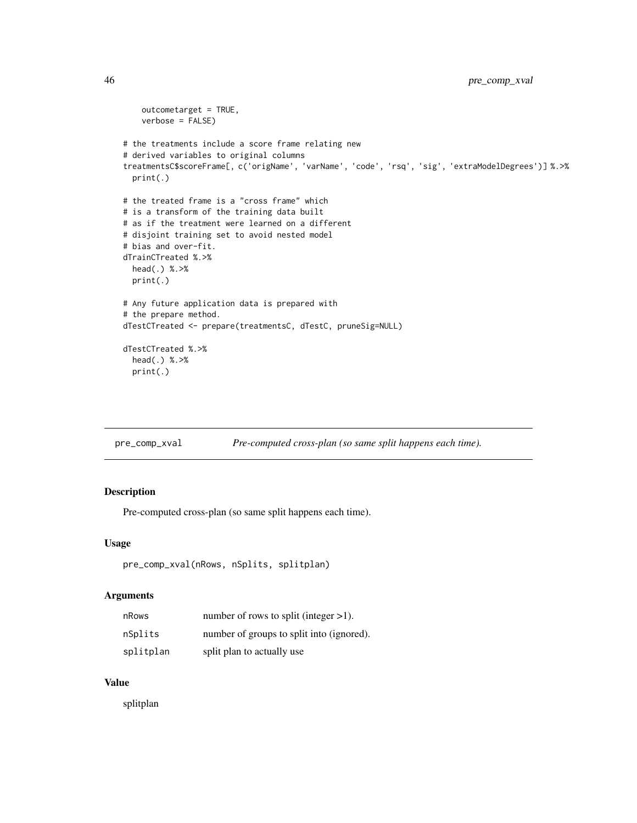```
outcometarget = TRUE,
    verbose = FALSE)
# the treatments include a score frame relating new
# derived variables to original columns
treatmentsC$scoreFrame[, c('origName', 'varName', 'code', 'rsq', 'sig', 'extraModelDegrees')] %.>%
  print(.)
# the treated frame is a "cross frame" which
# is a transform of the training data built
# as if the treatment were learned on a different
# disjoint training set to avoid nested model
# bias and over-fit.
dTrainCTreated %.>%
 head(.) %.>%
 print(.)
# Any future application data is prepared with
# the prepare method.
dTestCTreated <- prepare(treatmentsC, dTestC, pruneSig=NULL)
dTestCTreated %.>%
  head(.) %.>%
  print(.)
```

|  | pre_comp_xval | Pre-computed cross-plan (so same split happens each time). |  |
|--|---------------|------------------------------------------------------------|--|
|--|---------------|------------------------------------------------------------|--|

# Description

Pre-computed cross-plan (so same split happens each time).

#### Usage

```
pre_comp_xval(nRows, nSplits, splitplan)
```
#### Arguments

| nRows     | number of rows to split (integer $>1$ ).  |
|-----------|-------------------------------------------|
| nSplits   | number of groups to split into (ignored). |
| splitplan | split plan to actually use                |

#### Value

splitplan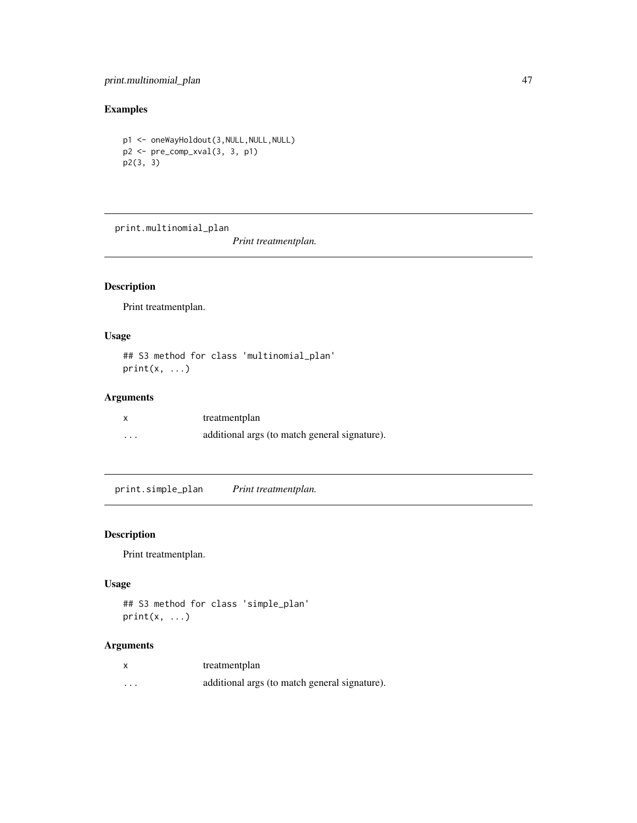# <span id="page-46-0"></span>print.multinomial\_plan 47

# Examples

p1 <- oneWayHoldout(3,NULL,NULL,NULL) p2 <- pre\_comp\_xval(3, 3, p1) p2(3, 3)

print.multinomial\_plan

*Print treatmentplan.*

# Description

Print treatmentplan.

# Usage

## S3 method for class 'multinomial\_plan'  $print(x, \ldots)$ 

#### Arguments

| X        | treatmentplan                                 |
|----------|-----------------------------------------------|
| $\cdots$ | additional args (to match general signature). |

print.simple\_plan *Print treatmentplan.*

# Description

Print treatmentplan.

# Usage

```
## S3 method for class 'simple_plan'
print(x, \ldots)
```

| X | treatmentplan |  |  |  |
|---|---------------|--|--|--|
|   |               |  |  |  |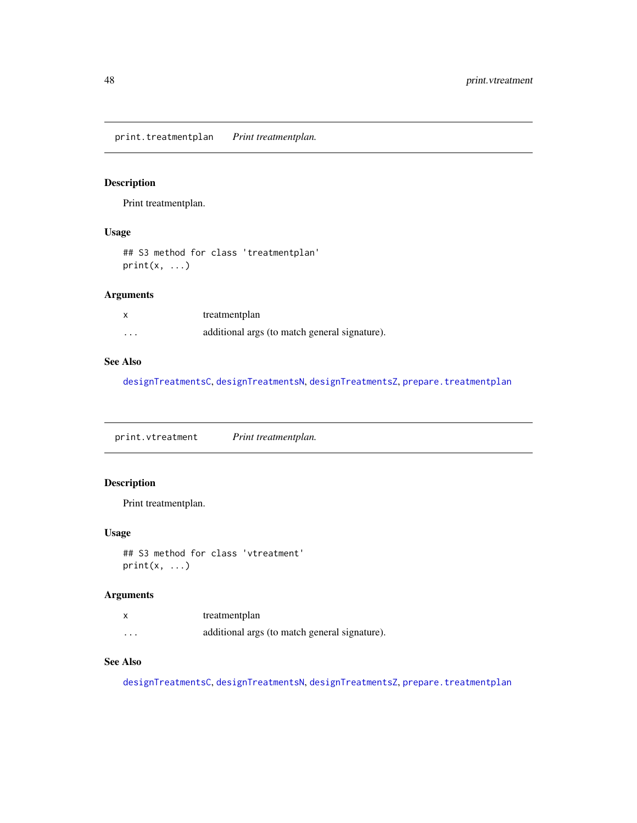<span id="page-47-0"></span>print.treatmentplan *Print treatmentplan.*

# Description

Print treatmentplan.

#### Usage

## S3 method for class 'treatmentplan'  $print(x, \ldots)$ 

# Arguments

| X                       | treatmentplan                                 |
|-------------------------|-----------------------------------------------|
| $\cdot$ $\cdot$ $\cdot$ | additional args (to match general signature). |

# See Also

[designTreatmentsC](#page-8-1), [designTreatmentsN](#page-11-1), [designTreatmentsZ](#page-13-1), [prepare.treatmentplan](#page-43-1)

print.vtreatment *Print treatmentplan.*

# Description

Print treatmentplan.

## Usage

```
## S3 method for class 'vtreatment'
print(x, \ldots)
```
#### Arguments

|                         | treatmentplan                                 |
|-------------------------|-----------------------------------------------|
| $\cdot$ $\cdot$ $\cdot$ | additional args (to match general signature). |

# See Also

[designTreatmentsC](#page-8-1), [designTreatmentsN](#page-11-1), [designTreatmentsZ](#page-13-1), [prepare.treatmentplan](#page-43-1)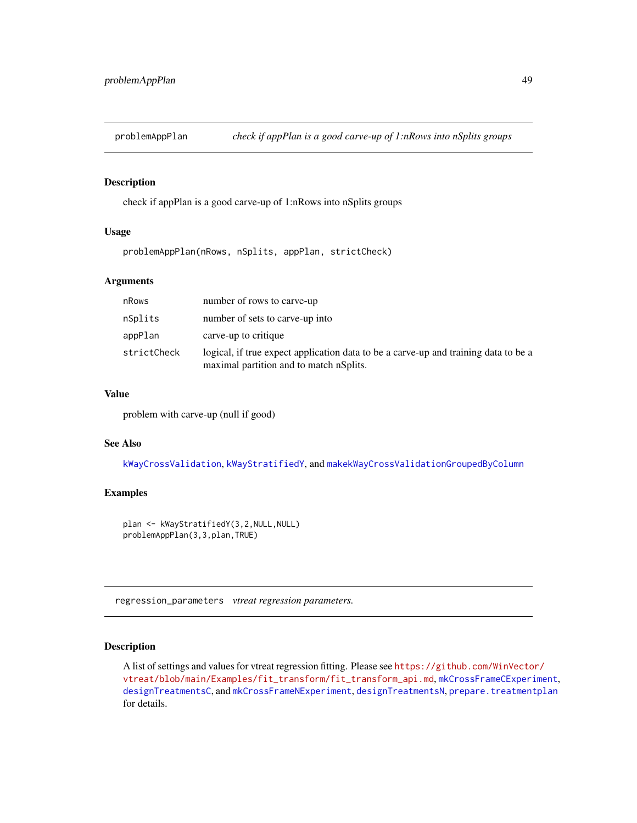<span id="page-48-0"></span>

# **Description**

check if appPlan is a good carve-up of 1:nRows into nSplits groups

#### Usage

problemAppPlan(nRows, nSplits, appPlan, strictCheck)

# Arguments

| nRows       | number of rows to carve-up                                                                                                     |
|-------------|--------------------------------------------------------------------------------------------------------------------------------|
| nSplits     | number of sets to carve-up into                                                                                                |
| appPlan     | carve-up to critique                                                                                                           |
| strictCheck | logical, if true expect application data to be a carve-up and training data to be a<br>maximal partition and to match nSplits. |

# Value

problem with carve-up (null if good)

#### See Also

[kWayCrossValidation](#page-21-1), [kWayStratifiedY](#page-21-2), and [makekWayCrossValidationGroupedByColumn](#page-25-2)

#### Examples

```
plan <- kWayStratifiedY(3,2,NULL,NULL)
problemAppPlan(3,3,plan,TRUE)
```
regression\_parameters *vtreat regression parameters.*

## Description

A list of settings and values for vtreat regression fitting. Please see [https://github.com/WinVecto](https://github.com/WinVector/vtreat/blob/main/Examples/fit_transform/fit_transform_api.md)r/ [vtreat/blob/main/Examples/fit\\_transform/fit\\_transform\\_api.md](https://github.com/WinVector/vtreat/blob/main/Examples/fit_transform/fit_transform_api.md), [mkCrossFrameCExperiment](#page-25-1), [designTreatmentsC](#page-8-1), and [mkCrossFrameNExperiment](#page-31-1), [designTreatmentsN](#page-11-1), [prepare.treatmentplan](#page-43-1) for details.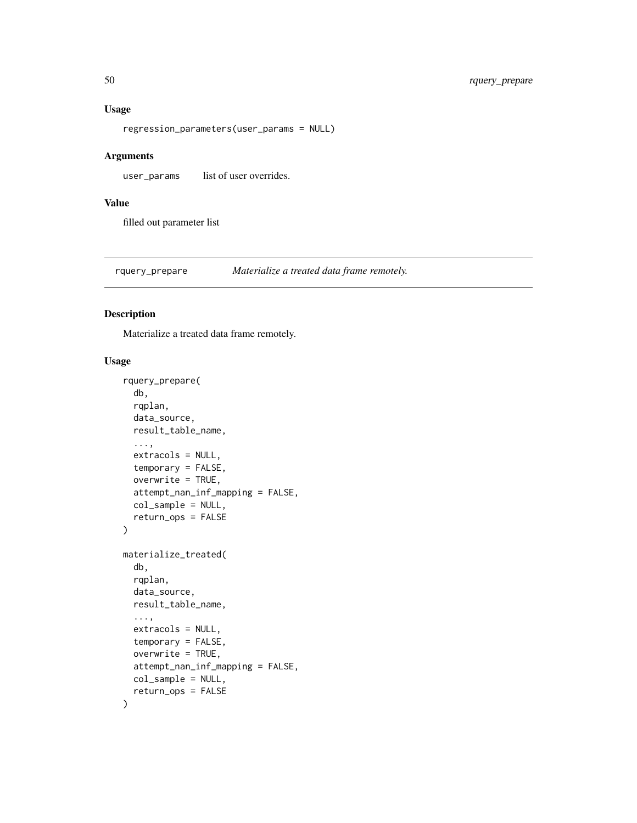#### Usage

regression\_parameters(user\_params = NULL)

#### Arguments

user\_params list of user overrides.

#### Value

filled out parameter list

<span id="page-49-1"></span>rquery\_prepare *Materialize a treated data frame remotely.*

# Description

Materialize a treated data frame remotely.

# Usage

```
rquery_prepare(
  db,
  rqplan,
  data_source,
  result_table_name,
  ...,
  extracols = NULL,
  temporary = FALSE,
  overwrite = TRUE,
  attempt_nan_inf_mapping = FALSE,
  col_sample = NULL,
  return_ops = FALSE
)
materialize_treated(
  db,
  rqplan,
  data_source,
  result_table_name,
  ...,
  extracols = NULL,
  temporary = FALSE,
  overwrite = TRUE,
  attempt_nan_inf_mapping = FALSE,
  col_sample = NULL,
  return_ops = FALSE
\mathcal{E}
```
<span id="page-49-0"></span>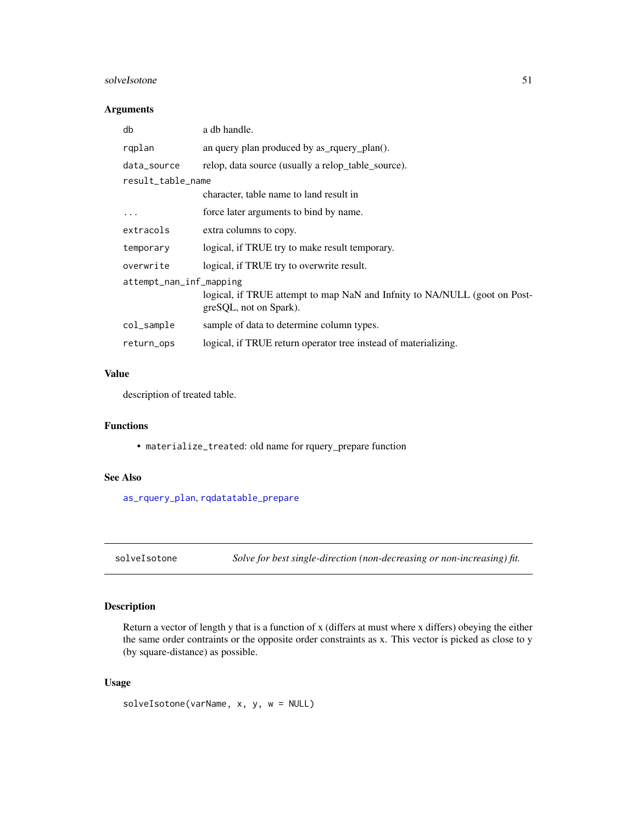#### <span id="page-50-0"></span>solveIsotone 51

#### Arguments

| db                      | a db handle.                                                                                        |
|-------------------------|-----------------------------------------------------------------------------------------------------|
| rqplan                  | an query plan produced by as_rquery_plan().                                                         |
| data_source             | relop, data source (usually a relop_table_source).                                                  |
| result_table_name       |                                                                                                     |
|                         | character, table name to land result in                                                             |
| $\cdots$                | force later arguments to bind by name.                                                              |
| extracols               | extra columns to copy.                                                                              |
| temporary               | logical, if TRUE try to make result temporary.                                                      |
| overwrite               | logical, if TRUE try to overwrite result.                                                           |
| attempt_nan_inf_mapping | logical, if TRUE attempt to map NaN and Infnity to NA/NULL (goot on Post-<br>greSQL, not on Spark). |
| col_sample              | sample of data to determine column types.                                                           |
| return_ops              | logical, if TRUE return operator tree instead of materializing.                                     |

#### Value

description of treated table.

#### Functions

• materialize\_treated: old name for rquery\_prepare function

#### See Also

[as\\_rquery\\_plan](#page-3-1), [rqdatatable\\_prepare](#page-0-0)

solveIsotone *Solve for best single-direction (non-decreasing or non-increasing) fit.*

#### Description

Return a vector of length y that is a function of x (differs at must where x differs) obeying the either the same order contraints or the opposite order constraints as x. This vector is picked as close to y (by square-distance) as possible.

#### Usage

```
solveIsotone(varName, x, y, w = NULL)
```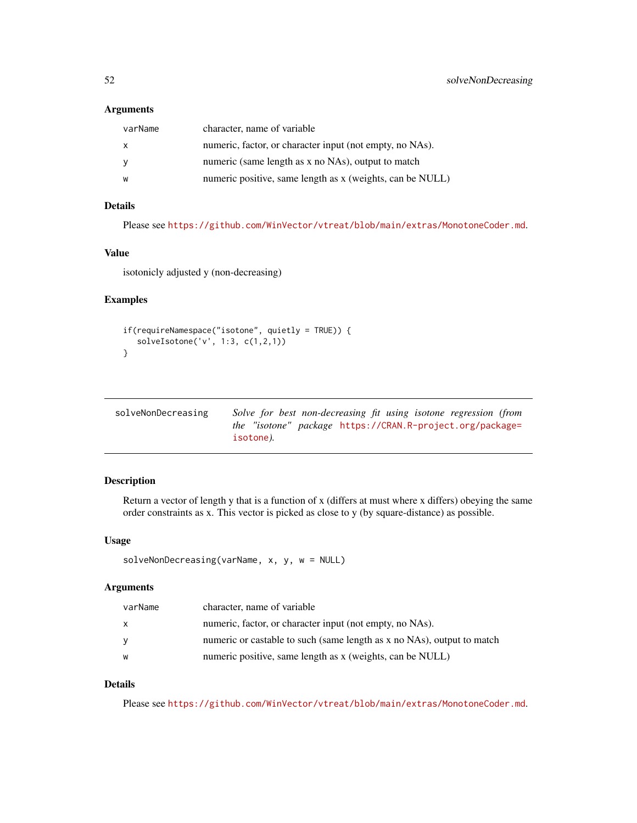# <span id="page-51-0"></span>Arguments

| varName | character, name of variable                               |
|---------|-----------------------------------------------------------|
|         | numeric, factor, or character input (not empty, no NAs).  |
|         | numeric (same length as x no NAs), output to match        |
| W       | numeric positive, same length as x (weights, can be NULL) |

# Details

Please see <https://github.com/WinVector/vtreat/blob/main/extras/MonotoneCoder.md>.

#### Value

isotonicly adjusted y (non-decreasing)

# Examples

```
if(requireNamespace("isotone", quietly = TRUE)) {
   solveIsotone('v', 1:3, c(1,2,1))
}
```

| solveNonDecreasing | Solve for best non-decreasing fit using isotone regression (from |
|--------------------|------------------------------------------------------------------|
|                    | <i>the "isotone" package</i> https://CRAN.R-project.org/package= |
|                    | isotone).                                                        |

## Description

Return a vector of length y that is a function of x (differs at must where x differs) obeying the same order constraints as x. This vector is picked as close to y (by square-distance) as possible.

#### Usage

```
solveNonDecreasing(varName, x, y, w = NULL)
```
#### Arguments

| varName      | character, name of variable                                            |
|--------------|------------------------------------------------------------------------|
| $\mathsf{x}$ | numeric, factor, or character input (not empty, no NAs).               |
| <b>V</b>     | numeric or castable to such (same length as x no NAs), output to match |
| W            | numeric positive, same length as x (weights, can be NULL)              |

# Details

Please see <https://github.com/WinVector/vtreat/blob/main/extras/MonotoneCoder.md>.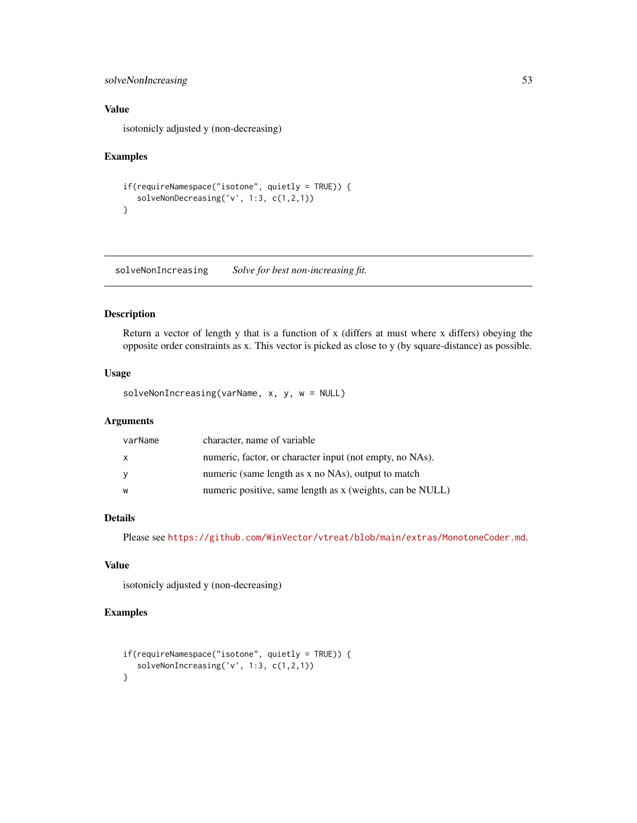# <span id="page-52-0"></span>solveNonIncreasing 53

# Value

isotonicly adjusted y (non-decreasing)

#### Examples

```
if(requireNamespace("isotone", quietly = TRUE)) {
  solveNonDecreasing('v', 1:3, c(1,2,1))
}
```
solveNonIncreasing *Solve for best non-increasing fit.*

# Description

Return a vector of length y that is a function of x (differs at must where x differs) obeying the opposite order constraints as x. This vector is picked as close to y (by square-distance) as possible.

# Usage

solveNonIncreasing(varName, x, y, w = NULL)

# Arguments

| varName | character, name of variable                               |
|---------|-----------------------------------------------------------|
| X.      | numeric, factor, or character input (not empty, no NAs).  |
| - V     | numeric (same length as x no NAs), output to match        |
| W       | numeric positive, same length as x (weights, can be NULL) |

#### Details

Please see <https://github.com/WinVector/vtreat/blob/main/extras/MonotoneCoder.md>.

#### Value

isotonicly adjusted y (non-decreasing)

# Examples

```
if(requireNamespace("isotone", quietly = TRUE)) {
   solveNonIncreasing('v', 1:3, c(1,2,1))
}
```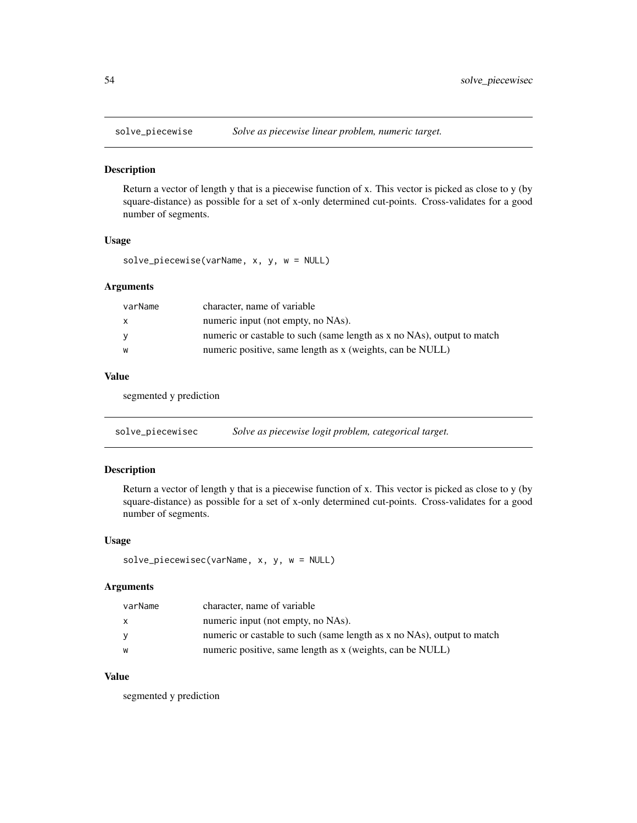<span id="page-53-0"></span>

#### Description

Return a vector of length y that is a piecewise function of x. This vector is picked as close to y (by square-distance) as possible for a set of x-only determined cut-points. Cross-validates for a good number of segments.

#### Usage

solve\_piecewise(varName, x, y, w = NULL)

#### Arguments

| varName  | character, name of variable                                            |
|----------|------------------------------------------------------------------------|
| X        | numeric input (not empty, no NAs).                                     |
| <b>V</b> | numeric or castable to such (same length as x no NAs), output to match |
| W        | numeric positive, same length as x (weights, can be NULL)              |
|          |                                                                        |

# Value

segmented y prediction

solve\_piecewisec *Solve as piecewise logit problem, categorical target.*

# Description

Return a vector of length y that is a piecewise function of x. This vector is picked as close to y (by square-distance) as possible for a set of x-only determined cut-points. Cross-validates for a good number of segments.

#### Usage

```
solve_piecewisec(varName, x, y, w = NULL)
```
#### Arguments

| varName | character, name of variable                                            |
|---------|------------------------------------------------------------------------|
| x       | numeric input (not empty, no NAs).                                     |
| v       | numeric or castable to such (same length as x no NAs), output to match |
| W       | numeric positive, same length as x (weights, can be NULL)              |

# Value

segmented y prediction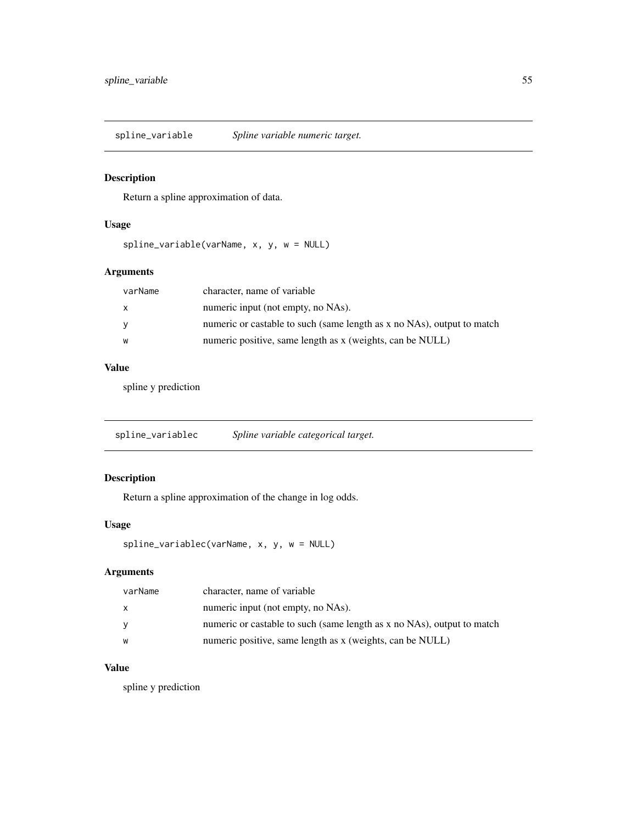<span id="page-54-0"></span>spline\_variable *Spline variable numeric target.*

# Description

Return a spline approximation of data.

# Usage

spline\_variable(varName, x, y, w = NULL)

# Arguments

| varName      | character, name of variable                                            |
|--------------|------------------------------------------------------------------------|
| $\mathsf{x}$ | numeric input (not empty, no NAs).                                     |
| <b>V</b>     | numeric or castable to such (same length as x no NAs), output to match |
| W            | numeric positive, same length as x (weights, can be NULL)              |

#### Value

spline y prediction

| spline_variablec | Spline variable categorical target. |  |
|------------------|-------------------------------------|--|
|                  |                                     |  |

# Description

Return a spline approximation of the change in log odds.

# Usage

```
spline_variablec(varName, x, y, w = NULL)
```
# Arguments

| varName | character, name of variable                                            |
|---------|------------------------------------------------------------------------|
| X       | numeric input (not empty, no NAs).                                     |
| V       | numeric or castable to such (same length as x no NAs), output to match |
| W       | numeric positive, same length as x (weights, can be NULL)              |

# Value

spline y prediction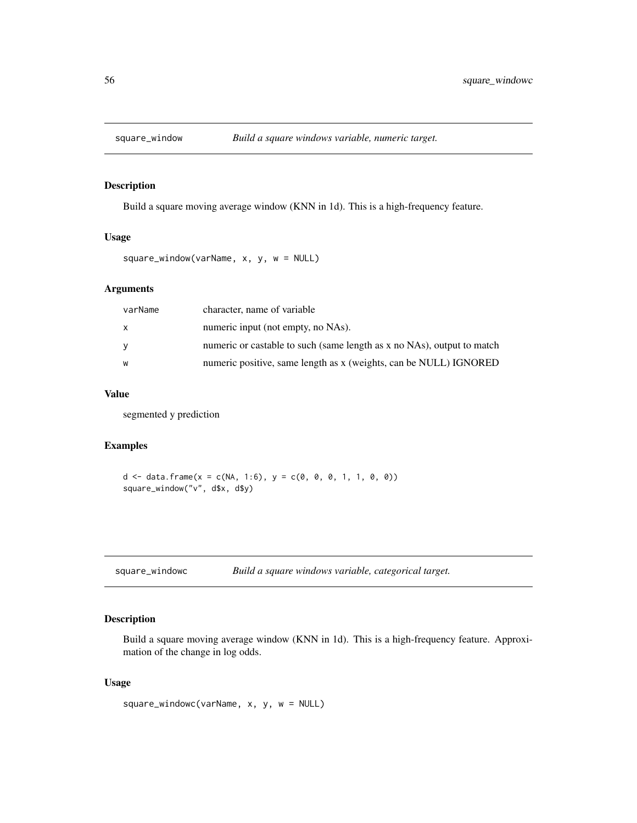<span id="page-55-0"></span>

#### Description

Build a square moving average window (KNN in 1d). This is a high-frequency feature.

## Usage

```
square_window(varName, x, y, w = NULL)
```
# Arguments

| varName | character, name of variable                                            |
|---------|------------------------------------------------------------------------|
| X       | numeric input (not empty, no NAs).                                     |
| y       | numeric or castable to such (same length as x no NAs), output to match |
| W       | numeric positive, same length as x (weights, can be NULL) IGNORED      |

# Value

segmented y prediction

# Examples

 $d \le -$  data.frame(x = c(NA, 1:6), y = c(0, 0, 0, 1, 1, 0, 0)) square\_window("v", d\$x, d\$y)

| Build a square windows variable, categorical target.<br>square_windowc |  |
|------------------------------------------------------------------------|--|
|------------------------------------------------------------------------|--|

# Description

Build a square moving average window (KNN in 1d). This is a high-frequency feature. Approximation of the change in log odds.

#### Usage

square\_windowc(varName, x, y, w = NULL)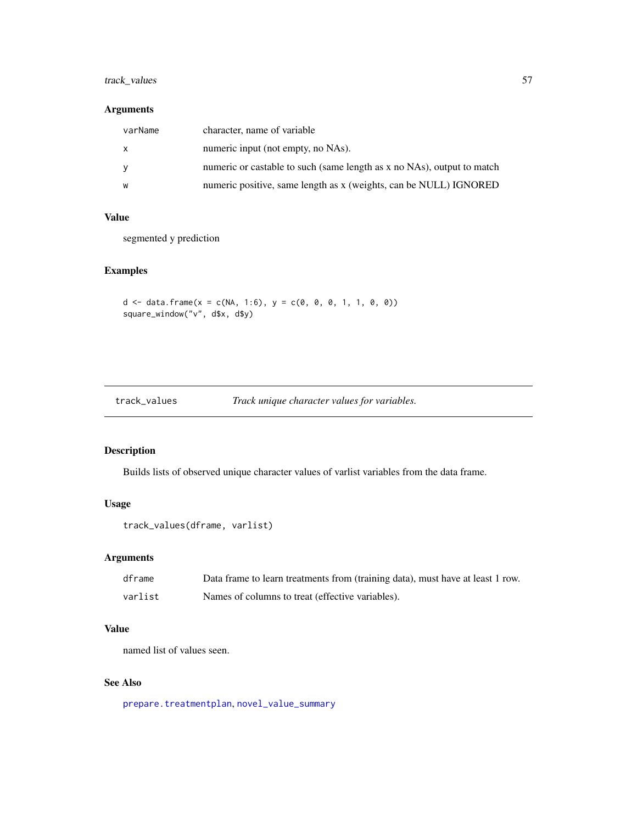# <span id="page-56-0"></span>track\_values 57

# Arguments

| varName      | character, name of variable                                            |
|--------------|------------------------------------------------------------------------|
| $\mathsf{x}$ | numeric input (not empty, no NAs).                                     |
| <b>V</b>     | numeric or castable to such (same length as x no NAs), output to match |
| w            | numeric positive, same length as x (weights, can be NULL) IGNORED      |

# Value

segmented y prediction

#### Examples

 $d \leq d$  data.frame(x = c(NA, 1:6), y = c(0, 0, 0, 1, 1, 0, 0)) square\_window("v", d\$x, d\$y)

<span id="page-56-1"></span>track\_values *Track unique character values for variables.*

# Description

Builds lists of observed unique character values of varlist variables from the data frame.

# Usage

```
track_values(dframe, varlist)
```
# Arguments

| dframe  | Data frame to learn treatments from (training data), must have at least 1 row. |
|---------|--------------------------------------------------------------------------------|
| varlist | Names of columns to treat (effective variables).                               |

# Value

named list of values seen.

# See Also

[prepare.treatmentplan](#page-43-1), [novel\\_value\\_summary](#page-36-1)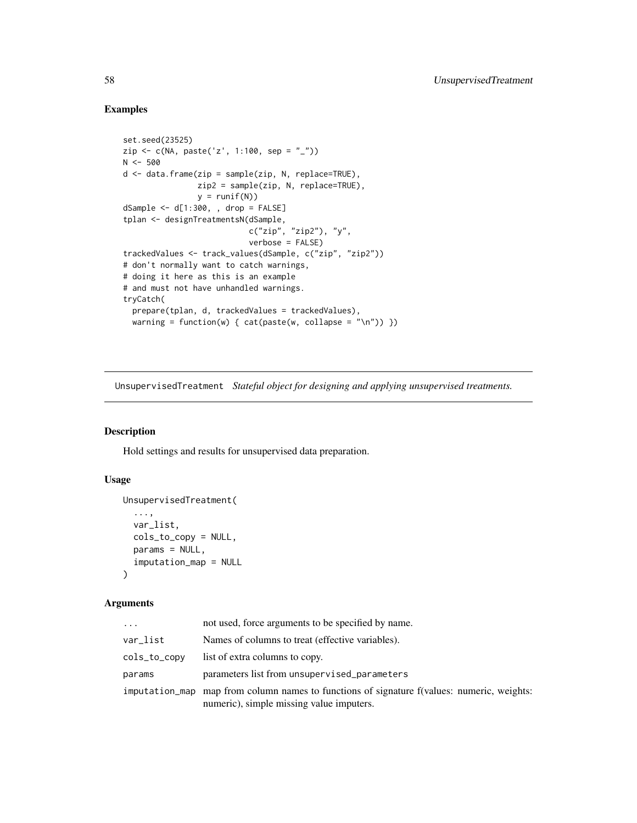# Examples

```
set.seed(23525)
zip <- c(NA, paste('z', 1:100, sep = "_"))
N < -500d <- data.frame(zip = sample(zip, N, replace=TRUE),
                zip2 = sample(zip, N, replace=TRUE),
                y = runif(N)dSample \le -d[1:300, , drop = FALSE]tplan <- designTreatmentsN(dSample,
                          c("zip", "zip2"), "y",
                           verbose = FALSE)
trackedValues <- track_values(dSample, c("zip", "zip2"))
# don't normally want to catch warnings,
# doing it here as this is an example
# and must not have unhandled warnings.
tryCatch(
  prepare(tplan, d, trackedValues = trackedValues),
  warning = function(w) { cat(paste(w, collapse = "n")) )
```
UnsupervisedTreatment *Stateful object for designing and applying unsupervised treatments.*

# Description

Hold settings and results for unsupervised data preparation.

#### Usage

```
UnsupervisedTreatment(
  ...,
 var_list,
  cols_to_copy = NULL,
 params = NULL,
  imputation_map = NULL
\lambda
```

| $\cdots$     | not used, force arguments to be specified by name.                                                                                     |
|--------------|----------------------------------------------------------------------------------------------------------------------------------------|
| var_list     | Names of columns to treat (effective variables).                                                                                       |
| cols_to_copy | list of extra columns to copy.                                                                                                         |
| params       | parameters list from unsupervised_parameters                                                                                           |
|              | imputation_map map from column names to functions of signature f(values: numeric, weights:<br>numeric), simple missing value imputers. |

<span id="page-57-0"></span>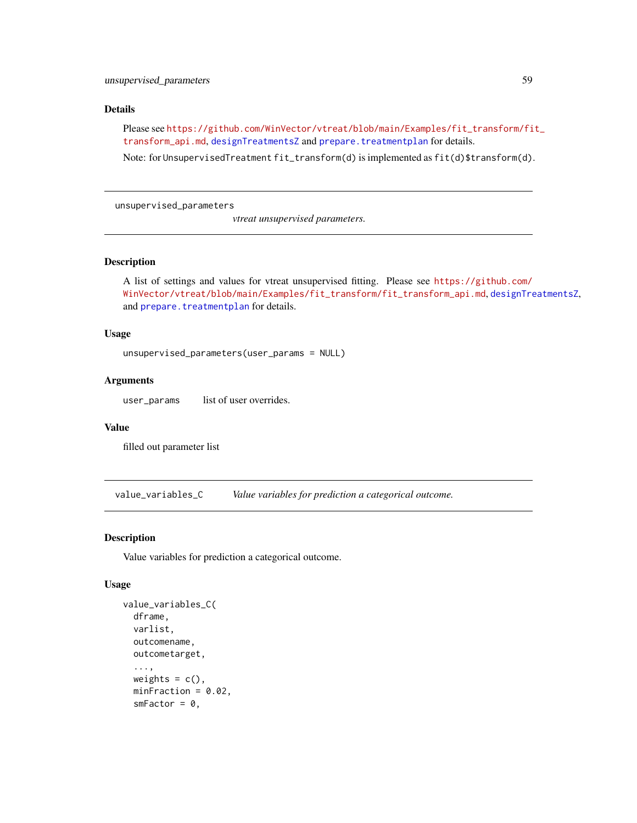#### <span id="page-58-0"></span>Details

Please see [https://github.com/WinVector/vtreat/blob/main/Examples/fit\\_transform/fi](https://github.com/WinVector/vtreat/blob/main/Examples/fit_transform/fit_transform_api.md)t\_ [transform\\_api.md](https://github.com/WinVector/vtreat/blob/main/Examples/fit_transform/fit_transform_api.md), [designTreatmentsZ](#page-13-1) and [prepare.treatmentplan](#page-43-1) for details.

Note: for UnsupervisedTreatment fit\_transform(d) is implemented as fit(d)\$transform(d).

unsupervised\_parameters

*vtreat unsupervised parameters.*

#### Description

A list of settings and values for vtreat unsupervised fitting. Please see [https://github.com/](https://github.com/WinVector/vtreat/blob/main/Examples/fit_transform/fit_transform_api.md) [WinVector/vtreat/blob/main/Examples/fit\\_transform/fit\\_transform\\_api.md](https://github.com/WinVector/vtreat/blob/main/Examples/fit_transform/fit_transform_api.md), [designTreatmentsZ](#page-13-1), and [prepare.treatmentplan](#page-43-1) for details.

#### Usage

```
unsupervised_parameters(user_params = NULL)
```
#### Arguments

user\_params list of user overrides.

#### Value

filled out parameter list

value\_variables\_C *Value variables for prediction a categorical outcome.*

#### Description

Value variables for prediction a categorical outcome.

#### Usage

```
value_variables_C(
  dframe,
  varlist,
  outcomename,
  outcometarget,
  ...,
  weights = c(),
  minFraction = 0.02,
  smFactor = 0,
```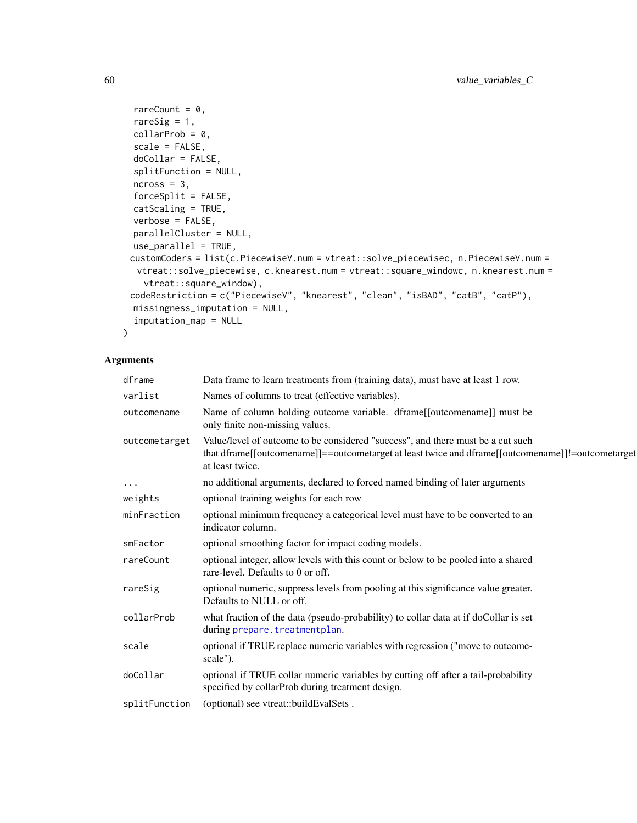```
rareCount = 0,
 rareSig = 1,
 collarProb = 0,
  scale = FALSE,
 doCollar = FALSE,
  splitFunction = NULL,
 ncross = 3,
 forceSplit = FALSE,
 catScaling = TRUE,
 verbose = FALSE,
 parallelCluster = NULL,
 use_parallel = TRUE,
 customCoders = list(c.PiecewiseV.num = vtreat::solve_piecewisec, n.PiecewiseV.num =
  vtreat::solve_piecewise, c.knearest.num = vtreat::square_windowc, n.knearest.num =
   vtreat::square_window),
 codeRestriction = c("PiecewiseV", "knearest", "clean", "isBAD", "catB", "catP"),
 missingness_imputation = NULL,
 imputation_map = NULL
\mathcal{L}
```

| dframe        | Data frame to learn treatments from (training data), must have at least 1 row.                                                                                                                          |
|---------------|---------------------------------------------------------------------------------------------------------------------------------------------------------------------------------------------------------|
| varlist       | Names of columns to treat (effective variables).                                                                                                                                                        |
| outcomename   | Name of column holding outcome variable. dframe[[outcomename]] must be<br>only finite non-missing values.                                                                                               |
| outcometarget | Value/level of outcome to be considered "success", and there must be a cut such<br>that dframe[[outcomename]]==outcometarget at least twice and dframe[[outcomename]]!=outcometarget<br>at least twice. |
| $\cdots$      | no additional arguments, declared to forced named binding of later arguments                                                                                                                            |
| weights       | optional training weights for each row                                                                                                                                                                  |
| minFraction   | optional minimum frequency a categorical level must have to be converted to an<br>indicator column.                                                                                                     |
| smFactor      | optional smoothing factor for impact coding models.                                                                                                                                                     |
| rareCount     | optional integer, allow levels with this count or below to be pooled into a shared<br>rare-level. Defaults to 0 or off.                                                                                 |
| rareSig       | optional numeric, suppress levels from pooling at this significance value greater.<br>Defaults to NULL or off.                                                                                          |
| collarProb    | what fraction of the data (pseudo-probability) to collar data at if do Collar is set<br>during prepare.treatmentplan.                                                                                   |
| scale         | optional if TRUE replace numeric variables with regression ("move to outcome-<br>scale").                                                                                                               |
| doCollar      | optional if TRUE collar numeric variables by cutting off after a tail-probability<br>specified by collarProb during treatment design.                                                                   |
| splitFunction | (optional) see vtreat::buildEvalSets.                                                                                                                                                                   |

<span id="page-59-0"></span>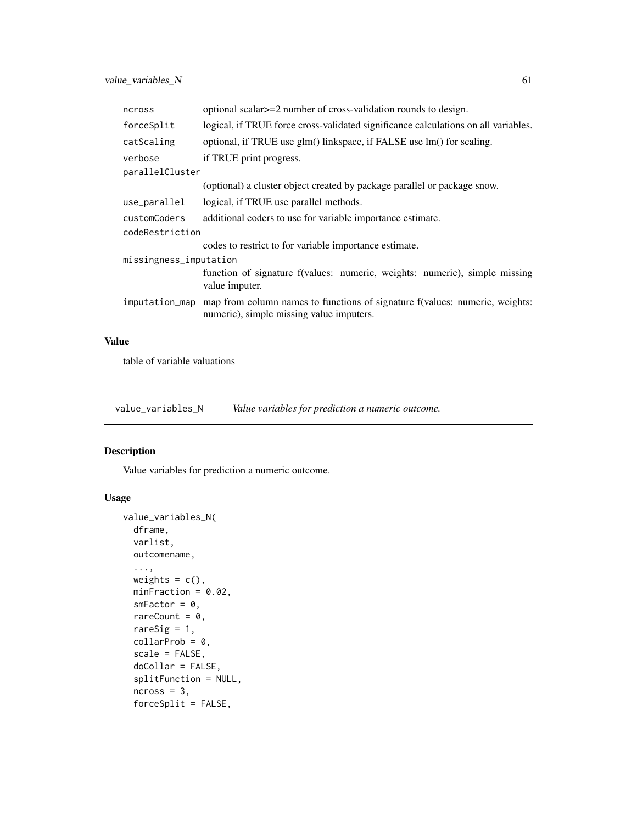<span id="page-60-0"></span>

| ncross                 | optional scalar>=2 number of cross-validation rounds to design.                                                                        |  |
|------------------------|----------------------------------------------------------------------------------------------------------------------------------------|--|
| forceSplit             | logical, if TRUE force cross-validated significance calculations on all variables.                                                     |  |
| catScaling             | optional, if TRUE use glm() linkspace, if FALSE use lm() for scaling.                                                                  |  |
| verbose                | if TRUE print progress.                                                                                                                |  |
| parallelCluster        |                                                                                                                                        |  |
|                        | (optional) a cluster object created by package parallel or package snow.                                                               |  |
| use_parallel           | logical, if TRUE use parallel methods.                                                                                                 |  |
| customCoders           | additional coders to use for variable importance estimate.                                                                             |  |
| codeRestriction        |                                                                                                                                        |  |
|                        | codes to restrict to for variable importance estimate.                                                                                 |  |
| missingness_imputation |                                                                                                                                        |  |
|                        | function of signature f(values: numeric, weights: numeric), simple missing<br>value imputer.                                           |  |
|                        | imputation_map map from column names to functions of signature f(values: numeric, weights:<br>numeric), simple missing value imputers. |  |

#### Value

table of variable valuations

value\_variables\_N *Value variables for prediction a numeric outcome.*

# Description

Value variables for prediction a numeric outcome.

# Usage

```
value_variables_N(
 dframe,
 varlist,
 outcomename,
  ...,
 weights = c(),
 minFraction = 0.02,
 smFactor = 0,rareCount = 0,
 rareSig = 1,
 collarProb = 0,
  scale = FALSE,
 doCollar = FALSE,
  splitFunction = NULL,
  ncross = 3,forceSplit = FALSE,
```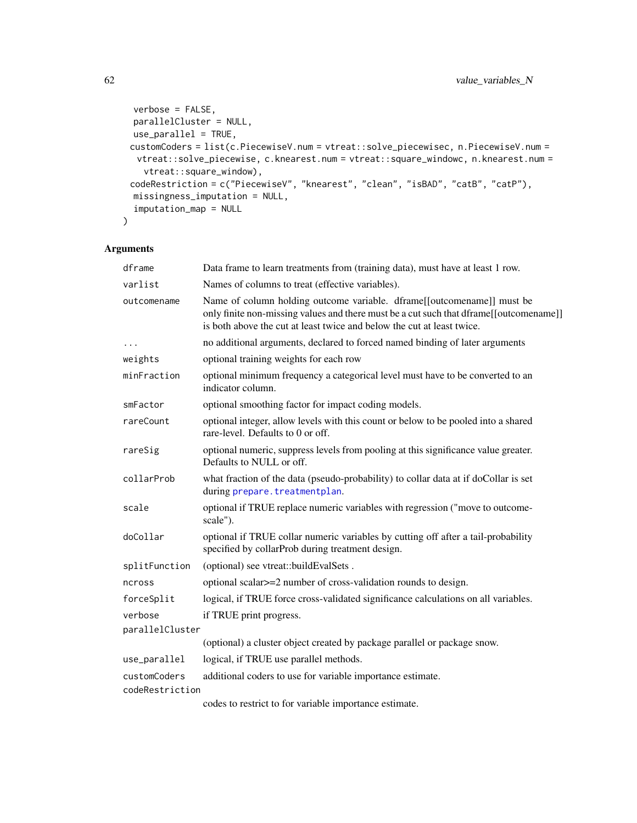```
verbose = FALSE,
parallelCluster = NULL,
use_parallel = TRUE,
customCoders = list(c.PiecewiseV.num = vtreat::solve_piecewisec, n.PiecewiseV.num =
 vtreat::solve_piecewise, c.knearest.num = vtreat::square_windowc, n.knearest.num =
  vtreat::square_window),
codeRestriction = c("PiecewiseV", "knearest", "clean", "isBAD", "catB", "catP"),
missingness_imputation = NULL,
imputation_map = NULL
```
## Arguments

)

| dframe          | Data frame to learn treatments from (training data), must have at least 1 row.                                                                                                                                                             |
|-----------------|--------------------------------------------------------------------------------------------------------------------------------------------------------------------------------------------------------------------------------------------|
| varlist         | Names of columns to treat (effective variables).                                                                                                                                                                                           |
| outcomename     | Name of column holding outcome variable. dframe[[outcomename]] must be<br>only finite non-missing values and there must be a cut such that dframe[[outcomename]]<br>is both above the cut at least twice and below the cut at least twice. |
| $\cdots$        | no additional arguments, declared to forced named binding of later arguments                                                                                                                                                               |
| weights         | optional training weights for each row                                                                                                                                                                                                     |
| minFraction     | optional minimum frequency a categorical level must have to be converted to an<br>indicator column.                                                                                                                                        |
| smFactor        | optional smoothing factor for impact coding models.                                                                                                                                                                                        |
| rareCount       | optional integer, allow levels with this count or below to be pooled into a shared<br>rare-level. Defaults to 0 or off.                                                                                                                    |
| rareSig         | optional numeric, suppress levels from pooling at this significance value greater.<br>Defaults to NULL or off.                                                                                                                             |
| collarProb      | what fraction of the data (pseudo-probability) to collar data at if doCollar is set<br>during prepare.treatmentplan.                                                                                                                       |
| scale           | optional if TRUE replace numeric variables with regression ("move to outcome-<br>scale").                                                                                                                                                  |
| doCollar        | optional if TRUE collar numeric variables by cutting off after a tail-probability<br>specified by collarProb during treatment design.                                                                                                      |
| splitFunction   | (optional) see vtreat::buildEvalSets.                                                                                                                                                                                                      |
| ncross          | optional scalar>=2 number of cross-validation rounds to design.                                                                                                                                                                            |
| forceSplit      | logical, if TRUE force cross-validated significance calculations on all variables.                                                                                                                                                         |
| verbose         | if TRUE print progress.                                                                                                                                                                                                                    |
| parallelCluster |                                                                                                                                                                                                                                            |
|                 | (optional) a cluster object created by package parallel or package snow.                                                                                                                                                                   |
| use_parallel    | logical, if TRUE use parallel methods.                                                                                                                                                                                                     |
| customCoders    | additional coders to use for variable importance estimate.                                                                                                                                                                                 |
| codeRestriction |                                                                                                                                                                                                                                            |
|                 | codes to restrict to for variable importance estimate.                                                                                                                                                                                     |

<span id="page-61-0"></span>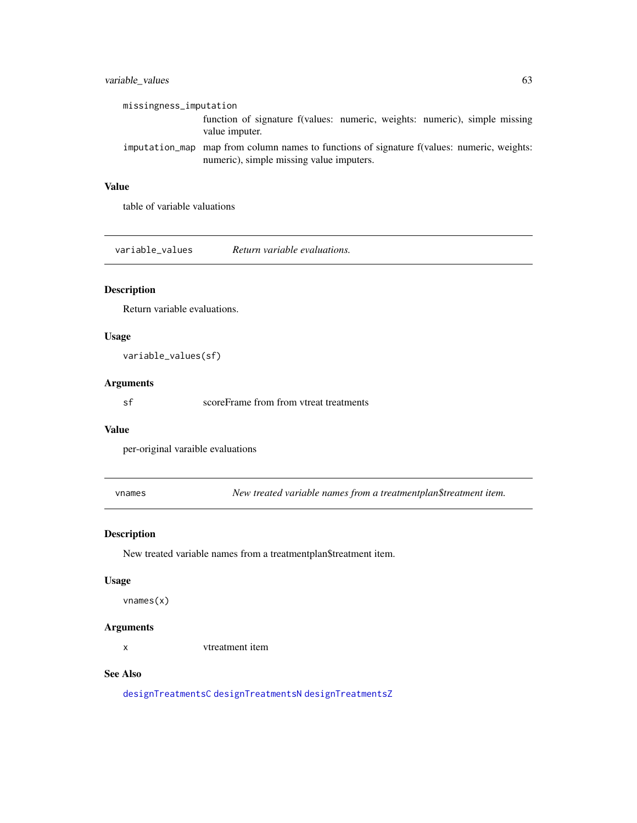# <span id="page-62-0"></span>variable\_values 63

| missingness_imputation |                                                                                                                                        |  |
|------------------------|----------------------------------------------------------------------------------------------------------------------------------------|--|
|                        | function of signature f(values: numeric, weights: numeric), simple missing<br>value imputer.                                           |  |
|                        | imputation_map map from column names to functions of signature f(values: numeric, weights:<br>numeric), simple missing value imputers. |  |

#### Value

table of variable valuations

variable\_values *Return variable evaluations.*

# Description

Return variable evaluations.

#### Usage

variable\_values(sf)

# Arguments

sf scoreFrame from from vtreat treatments

## Value

per-original varaible evaluations

vnames *New treated variable names from a treatmentplan\$treatment item.*

# Description

New treated variable names from a treatmentplan\$treatment item.

#### Usage

vnames(x)

#### Arguments

x vtreatment item

# See Also

[designTreatmentsC](#page-8-1) [designTreatmentsN](#page-11-1) [designTreatmentsZ](#page-13-1)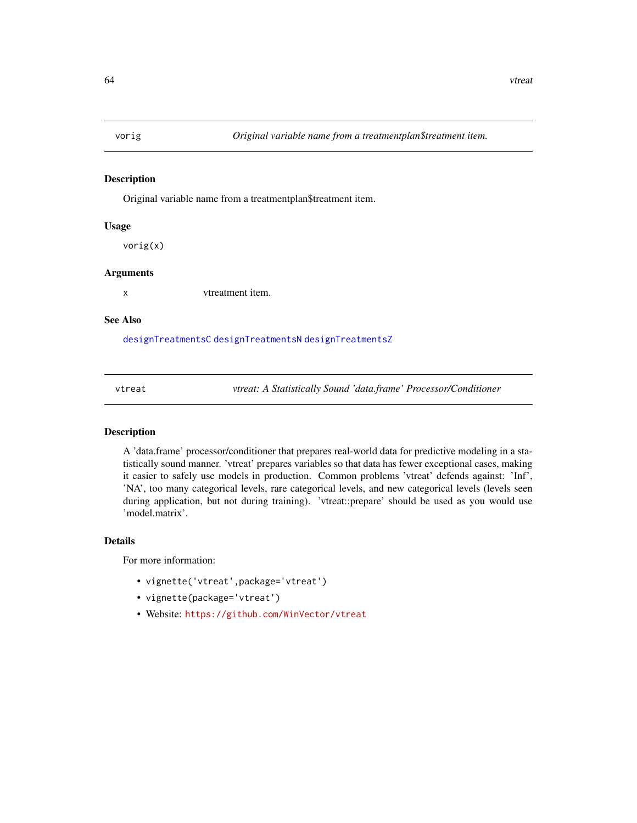<span id="page-63-0"></span>

#### Description

Original variable name from a treatmentplan\$treatment item.

#### Usage

vorig(x)

#### Arguments

x vtreatment item.

#### See Also

[designTreatmentsC](#page-8-1) [designTreatmentsN](#page-11-1) [designTreatmentsZ](#page-13-1)

vtreat *vtreat: A Statistically Sound 'data.frame' Processor/Conditioner*

#### Description

A 'data.frame' processor/conditioner that prepares real-world data for predictive modeling in a statistically sound manner. 'vtreat' prepares variables so that data has fewer exceptional cases, making it easier to safely use models in production. Common problems 'vtreat' defends against: 'Inf', 'NA', too many categorical levels, rare categorical levels, and new categorical levels (levels seen during application, but not during training). 'vtreat::prepare' should be used as you would use 'model.matrix'.

#### Details

For more information:

- vignette('vtreat',package='vtreat')
- vignette(package='vtreat')
- Website: <https://github.com/WinVector/vtreat>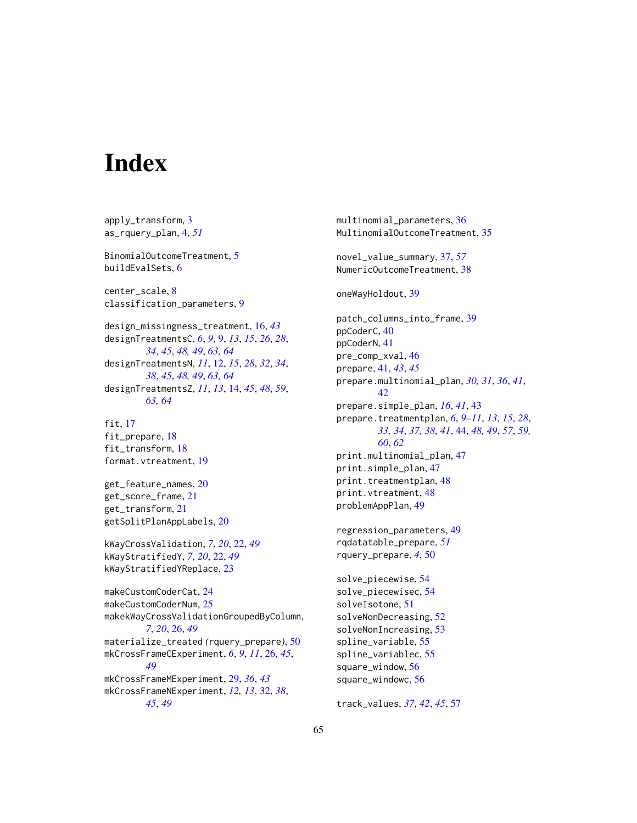# <span id="page-64-0"></span>**Index**

apply\_transform, [3](#page-2-0) as\_rquery\_plan, [4,](#page-3-0) *[51](#page-50-0)* BinomialOutcomeTreatment, [5](#page-4-0) buildEvalSets, [6](#page-5-0) center\_scale, [8](#page-7-0) classification\_parameters, [9](#page-8-0) design\_missingness\_treatment, [16,](#page-15-0) *[43](#page-42-0)* designTreatmentsC, *[6](#page-5-0)*, *[9](#page-8-0)*, [9,](#page-8-0) *[13](#page-12-0)*, *[15](#page-14-0)*, *[26](#page-25-0)*, *[28](#page-27-0)*, *[34](#page-33-0)*, *[45](#page-44-0)*, *[48,](#page-47-0) [49](#page-48-0)*, *[63,](#page-62-0) [64](#page-63-0)* designTreatmentsN, *[11](#page-10-0)*, [12,](#page-11-0) *[15](#page-14-0)*, *[28](#page-27-0)*, *[32](#page-31-0)*, *[34](#page-33-0)*, *[38](#page-37-0)*, *[45](#page-44-0)*, *[48,](#page-47-0) [49](#page-48-0)*, *[63,](#page-62-0) [64](#page-63-0)* designTreatmentsZ, *[11](#page-10-0)*, *[13](#page-12-0)*, [14,](#page-13-0) *[45](#page-44-0)*, *[48](#page-47-0)*, *[59](#page-58-0)*, *[63,](#page-62-0) [64](#page-63-0)* fit, [17](#page-16-0) fit\_prepare, [18](#page-17-0) fit\_transform, [18](#page-17-0) format.vtreatment, [19](#page-18-0) get\_feature\_names, [20](#page-19-0) get\_score\_frame, [21](#page-20-0) get\_transform, [21](#page-20-0) getSplitPlanAppLabels, [20](#page-19-0) kWayCrossValidation, *[7](#page-6-0)*, *[20](#page-19-0)*, [22,](#page-21-0) *[49](#page-48-0)* kWayStratifiedY, *[7](#page-6-0)*, *[20](#page-19-0)*, [22,](#page-21-0) *[49](#page-48-0)* kWayStratifiedYReplace, [23](#page-22-0) makeCustomCoderCat, [24](#page-23-0) makeCustomCoderNum, [25](#page-24-0) makekWayCrossValidationGroupedByColumn, *[7](#page-6-0)*, *[20](#page-19-0)*, [26,](#page-25-0) *[49](#page-48-0)* materialize\_treated *(*rquery\_prepare*)*, [50](#page-49-0) mkCrossFrameCExperiment, *[6](#page-5-0)*, *[9](#page-8-0)*, *[11](#page-10-0)*, [26,](#page-25-0) *[45](#page-44-0)*, *[49](#page-48-0)* mkCrossFrameMExperiment, [29,](#page-28-0) *[36](#page-35-0)*, *[43](#page-42-0)* mkCrossFrameNExperiment, *[12,](#page-11-0) [13](#page-12-0)*, [32,](#page-31-0) *[38](#page-37-0)*, *[45](#page-44-0)*, *[49](#page-48-0)*

multinomial\_parameters, [36](#page-35-0) MultinomialOutcomeTreatment, [35](#page-34-0) novel\_value\_summary, [37,](#page-36-0) *[57](#page-56-0)* NumericOutcomeTreatment, [38](#page-37-0) oneWayHoldout, [39](#page-38-0) patch\_columns\_into\_frame, [39](#page-38-0) ppCoderC, [40](#page-39-0) ppCoderN, [41](#page-40-0) pre\_comp\_xval, [46](#page-45-0) prepare, [41,](#page-40-0) *[43](#page-42-0)*, *[45](#page-44-0)* prepare.multinomial\_plan, *[30,](#page-29-0) [31](#page-30-0)*, *[36](#page-35-0)*, *[41](#page-40-0)*, [42](#page-41-0) prepare.simple\_plan, *[16](#page-15-0)*, *[41](#page-40-0)*, [43](#page-42-0) prepare.treatmentplan, *[6](#page-5-0)*, *[9](#page-8-0)[–11](#page-10-0)*, *[13](#page-12-0)*, *[15](#page-14-0)*, *[28](#page-27-0)*, *[33,](#page-32-0) [34](#page-33-0)*, *[37,](#page-36-0) [38](#page-37-0)*, *[41](#page-40-0)*, [44,](#page-43-0) *[48,](#page-47-0) [49](#page-48-0)*, *[57](#page-56-0)*, *[59,](#page-58-0) [60](#page-59-0)*, *[62](#page-61-0)* print.multinomial\_plan, [47](#page-46-0) print.simple\_plan, [47](#page-46-0) print.treatmentplan, [48](#page-47-0) print.vtreatment, [48](#page-47-0) problemAppPlan, [49](#page-48-0) regression\_parameters, [49](#page-48-0) rqdatatable\_prepare, *[51](#page-50-0)* rquery\_prepare, *[4](#page-3-0)*, [50](#page-49-0) solve\_piecewise, [54](#page-53-0) solve\_piecewisec, [54](#page-53-0) solveIsotone, [51](#page-50-0) solveNonDecreasing, [52](#page-51-0) solveNonIncreasing, [53](#page-52-0) spline\_variable, [55](#page-54-0) spline\_variablec, [55](#page-54-0) square\_window, [56](#page-55-0) square\_windowc, [56](#page-55-0)

track\_values, *[37](#page-36-0)*, *[42](#page-41-0)*, *[45](#page-44-0)*, [57](#page-56-0)